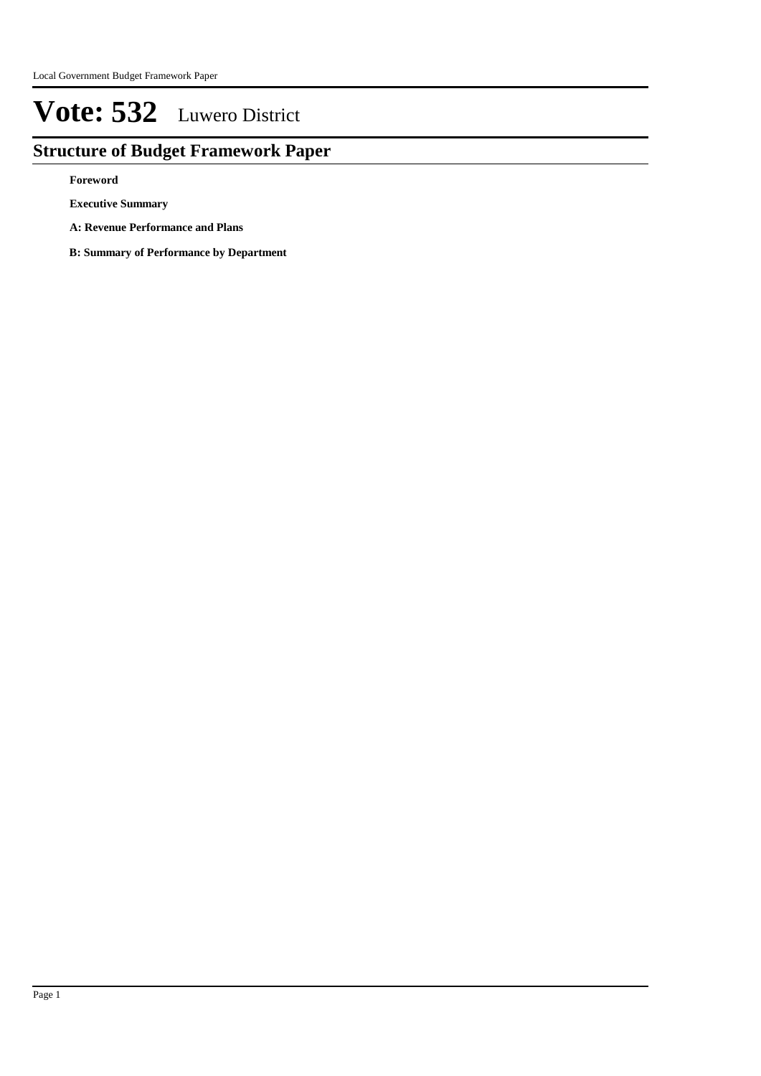## **Structure of Budget Framework Paper**

**Foreword**

**Executive Summary**

**A: Revenue Performance and Plans**

**B: Summary of Performance by Department**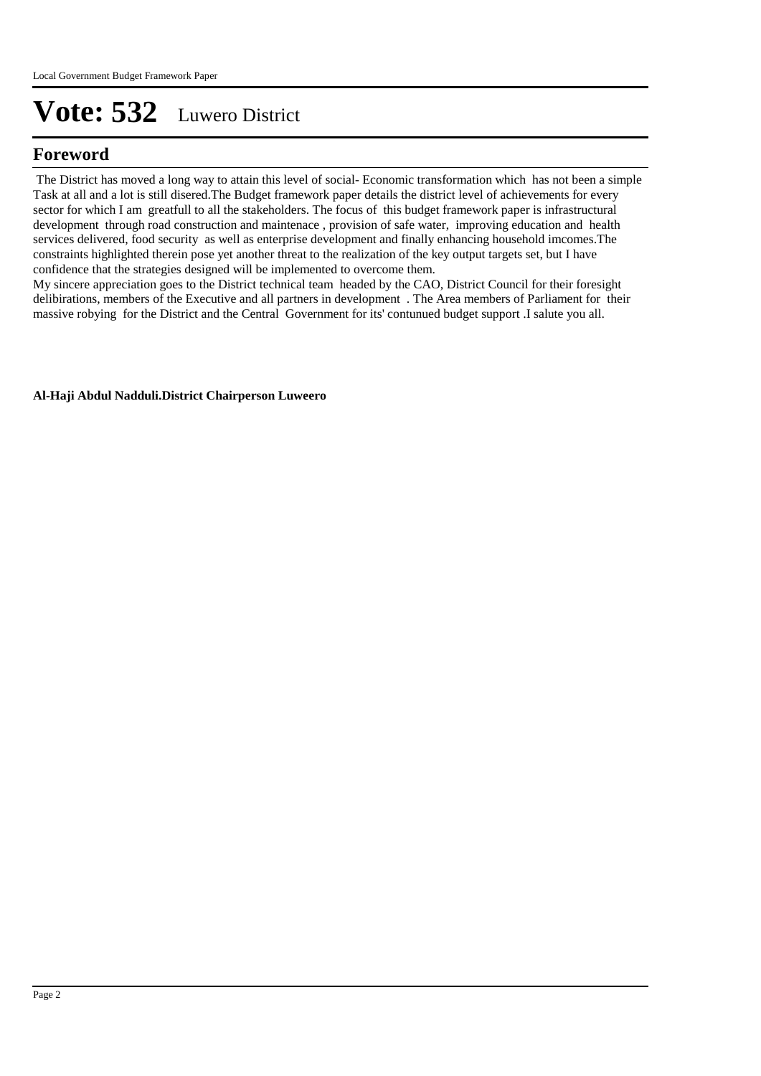## **Foreword**

 The District has moved a long way to attain this level of social- Economic transformation which has not been a simple Task at all and a lot is still disered.The Budget framework paper details the district level of achievements for every sector for which I am greatfull to all the stakeholders. The focus of this budget framework paper is infrastructural development through road construction and maintenace , provision of safe water, improving education and health services delivered, food security as well as enterprise development and finally enhancing household imcomes.The constraints highlighted therein pose yet another threat to the realization of the key output targets set, but I have confidence that the strategies designed will be implemented to overcome them.

My sincere appreciation goes to the District technical team headed by the CAO, District Council for their foresight delibirations, members of the Executive and all partners in development . The Area members of Parliament for their massive robying for the District and the Central Government for its' contunued budget support .I salute you all.

**Al-Haji Abdul Nadduli.District Chairperson Luweero**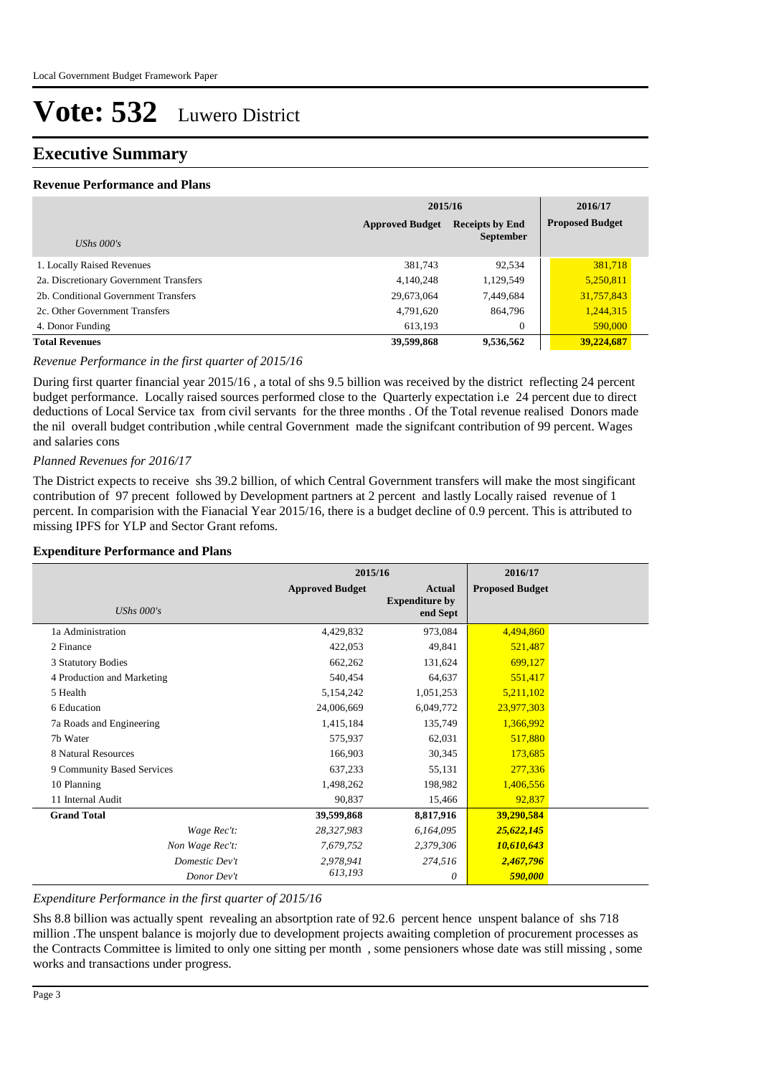### **Executive Summary**

#### **Revenue Performance and Plans**

|                                        | 2015/16                |                                            | 2016/17                |
|----------------------------------------|------------------------|--------------------------------------------|------------------------|
| UShs $000's$                           | <b>Approved Budget</b> | <b>Receipts by End</b><br><b>September</b> | <b>Proposed Budget</b> |
| 1. Locally Raised Revenues             | 381,743                | 92,534                                     | 381,718                |
| 2a. Discretionary Government Transfers | 4,140,248              | 1,129,549                                  | 5,250,811              |
| 2b. Conditional Government Transfers   | 29,673,064             | 7,449,684                                  | 31,757,843             |
| 2c. Other Government Transfers         | 4,791,620              | 864,796                                    | 1,244,315              |
| 4. Donor Funding                       | 613,193                | $\theta$                                   | 590,000                |
| <b>Total Revenues</b>                  | 39,599,868             | 9,536,562                                  | 39,224,687             |

#### *Revenue Performance in the first quarter of 2015/16*

During first quarter financial year 2015/16 , a total of shs 9.5 billion was received by the district reflecting 24 percent budget performance. Locally raised sources performed close to the Quarterly expectation i.e 24 percent due to direct deductions of Local Service tax from civil servants for the three months . Of the Total revenue realised Donors made the nil overall budget contribution ,while central Government made the signifcant contribution of 99 percent. Wages and salaries cons

#### *Planned Revenues for 2016/17*

The District expects to receive shs 39.2 billion, of which Central Government transfers will make the most singificant contribution of 97 precent followed by Development partners at 2 percent and lastly Locally raised revenue of 1 percent. In comparision with the Fianacial Year 2015/16, there is a budget decline of 0.9 percent. This is attributed to missing IPFS for YLP and Sector Grant refoms.

#### **Expenditure Performance and Plans**

|                            | 2015/16                |                                                    | 2016/17                |  |
|----------------------------|------------------------|----------------------------------------------------|------------------------|--|
| UShs $000's$               | <b>Approved Budget</b> | <b>Actual</b><br><b>Expenditure by</b><br>end Sept | <b>Proposed Budget</b> |  |
| 1a Administration          | 4,429,832              | 973,084                                            | 4,494,860              |  |
| 2 Finance                  | 422,053                | 49,841                                             | 521,487                |  |
| 3 Statutory Bodies         | 662,262                | 131,624                                            | 699,127                |  |
| 4 Production and Marketing | 540,454                | 64,637                                             | 551,417                |  |
| 5 Health                   | 5,154,242              | 1,051,253                                          | 5,211,102              |  |
| 6 Education                | 24,006,669             | 6,049,772                                          | 23,977,303             |  |
| 7a Roads and Engineering   | 1,415,184              | 135,749                                            | 1,366,992              |  |
| 7b Water                   | 575,937                | 62,031                                             | 517,880                |  |
| 8 Natural Resources        | 166,903                | 30,345                                             | 173,685                |  |
| 9 Community Based Services | 637,233                | 55,131                                             | 277,336                |  |
| 10 Planning                | 1,498,262              | 198,982                                            | 1,406,556              |  |
| 11 Internal Audit          | 90,837                 | 15,466                                             | 92,837                 |  |
| <b>Grand Total</b>         | 39,599,868             | 8,817,916                                          | 39,290,584             |  |
| Wage Rec't:                | 28,327,983             | 6,164,095                                          | 25,622,145             |  |
| Non Wage Rec't:            | 7,679,752              | 2,379,306                                          | 10,610,643             |  |
| Domestic Dev't             | 2,978,941              | 274,516                                            | 2,467,796              |  |
| Donor Dev't                | 613,193                | 0                                                  | 590,000                |  |

#### *Expenditure Performance in the first quarter of 2015/16*

Shs 8.8 billion was actually spent revealing an absortption rate of 92.6 percent hence unspent balance of shs 718 million .The unspent balance is mojorly due to development projects awaiting completion of procurement processes as the Contracts Committee is limited to only one sitting per month , some pensioners whose date was still missing , some works and transactions under progress.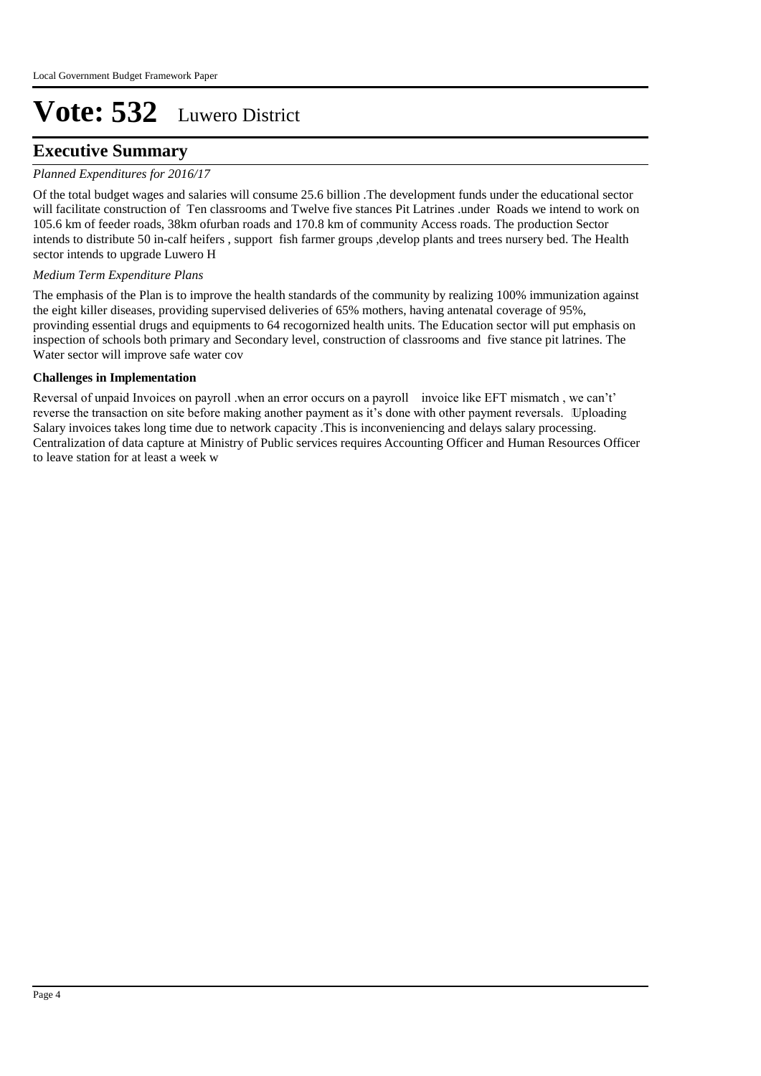## **Executive Summary**

#### *Planned Expenditures for 2016/17*

Of the total budget wages and salaries will consume 25.6 billion .The development funds under the educational sector will facilitate construction of Ten classrooms and Twelve five stances Pit Latrines .under Roads we intend to work on 105.6 km of feeder roads, 38km ofurban roads and 170.8 km of community Access roads. The production Sector intends to distribute 50 in-calf heifers , support fish farmer groups ,develop plants and trees nursery bed. The Health sector intends to upgrade Luwero H

#### *Medium Term Expenditure Plans*

The emphasis of the Plan is to improve the health standards of the community by realizing 100% immunization against the eight killer diseases, providing supervised deliveries of 65% mothers, having antenatal coverage of 95%, provinding essential drugs and equipments to 64 recogornized health units. The Education sector will put emphasis on inspection of schools both primary and Secondary level, construction of classrooms and five stance pit latrines. The Water sector will improve safe water cov

#### **Challenges in Implementation**

Reversal of unpaid Invoices on payroll .when an error occurs on a payroll invoice like EFT mismatch , we can't' reverse the transaction on site before making another payment as it's done with other payment reversals. Uploading Salary invoices takes long time due to network capacity .This is inconveniencing and delays salary processing. Centralization of data capture at Ministry of Public services requires Accounting Officer and Human Resources Officer to leave station for at least a week w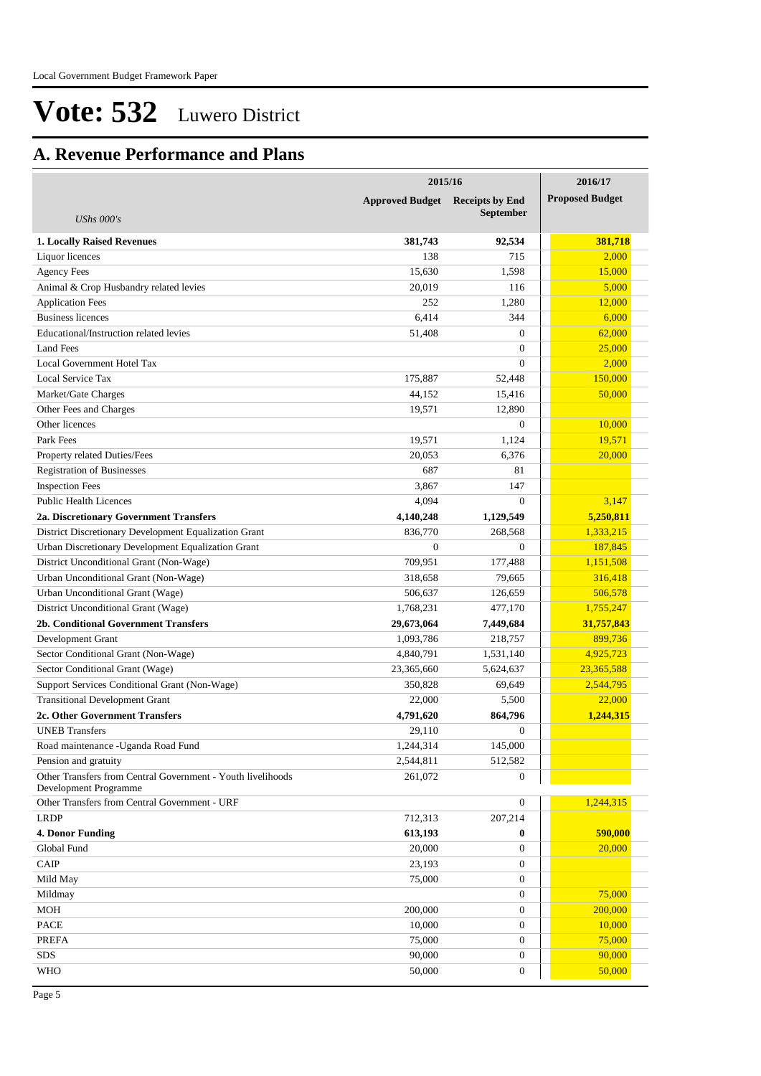## **A. Revenue Performance and Plans**

|                                                             | 2015/16                | 2016/17                                    |                        |
|-------------------------------------------------------------|------------------------|--------------------------------------------|------------------------|
| <b>UShs 000's</b>                                           | <b>Approved Budget</b> | <b>Receipts by End</b><br><b>September</b> | <b>Proposed Budget</b> |
|                                                             |                        |                                            | 381,718                |
| <b>1. Locally Raised Revenues</b>                           | 381,743                | 92,534                                     | 2,000                  |
| Liquor licences                                             | 138<br>15,630          | 715                                        | 15,000                 |
| <b>Agency Fees</b>                                          |                        | 1,598                                      |                        |
| Animal & Crop Husbandry related levies                      | 20,019                 | 116                                        | 5,000                  |
| <b>Application Fees</b>                                     | 252                    | 1,280                                      | 12,000                 |
| <b>Business licences</b>                                    | 6,414                  | 344                                        | 6,000                  |
| Educational/Instruction related levies                      | 51,408                 | $\overline{0}$                             | 62,000                 |
| <b>Land Fees</b>                                            |                        | $\overline{0}$                             | 25,000                 |
| Local Government Hotel Tax                                  |                        | $\overline{0}$                             | 2,000                  |
| Local Service Tax                                           | 175,887                | 52,448                                     | 150,000                |
| Market/Gate Charges                                         | 44,152                 | 15,416                                     | 50,000                 |
| Other Fees and Charges                                      | 19,571                 | 12,890                                     |                        |
| Other licences                                              |                        | $\overline{0}$                             | 10,000                 |
| Park Fees                                                   | 19.571                 | 1,124                                      | 19,571                 |
| Property related Duties/Fees                                | 20,053                 | 6,376                                      | 20,000                 |
| <b>Registration of Businesses</b>                           | 687                    | 81                                         |                        |
| <b>Inspection Fees</b>                                      | 3,867                  | 147                                        |                        |
| <b>Public Health Licences</b>                               | 4,094                  | $\theta$                                   | 3,147                  |
| 2a. Discretionary Government Transfers                      | 4,140,248              | 1,129,549                                  | 5,250,811              |
| District Discretionary Development Equalization Grant       | 836,770                | 268,568                                    | 1,333,215              |
| Urban Discretionary Development Equalization Grant          | $\boldsymbol{0}$       | $\overline{0}$                             | 187,845                |
| District Unconditional Grant (Non-Wage)                     | 709,951                | 177,488                                    | 1,151,508              |
| Urban Unconditional Grant (Non-Wage)                        | 318,658                | 79,665                                     | 316,418                |
| Urban Unconditional Grant (Wage)                            | 506,637                | 126,659                                    | 506,578                |
| District Unconditional Grant (Wage)                         | 1,768,231              | 477,170                                    | 1,755,247              |
| 2b. Conditional Government Transfers                        | 29,673,064             | 7,449,684                                  | 31,757,843             |
| Development Grant                                           | 1,093,786              | 218,757                                    | 899,736                |
| Sector Conditional Grant (Non-Wage)                         | 4,840,791              | 1,531,140                                  | 4,925,723              |
| Sector Conditional Grant (Wage)                             | 23,365,660             | 5,624,637                                  | 23,365,588             |
| Support Services Conditional Grant (Non-Wage)               | 350,828                | 69,649                                     | 2,544,795              |
| <b>Transitional Development Grant</b>                       | 22,000                 | 5,500                                      | 22,000                 |
| 2c. Other Government Transfers                              | 4,791,620              | 864,796                                    | 1,244,315              |
| <b>UNEB</b> Transfers                                       | 29,110                 | $\boldsymbol{0}$                           |                        |
| Road maintenance - Uganda Road Fund                         | 1,244,314              | 145,000                                    |                        |
| Pension and gratuity                                        | 2,544,811              | 512,582                                    |                        |
| Other Transfers from Central Government - Youth livelihoods | 261,072                | $\boldsymbol{0}$                           |                        |
| Development Programme                                       |                        |                                            |                        |
| Other Transfers from Central Government - URF               |                        | $\boldsymbol{0}$                           | 1,244,315              |
| <b>LRDP</b>                                                 | 712,313                | 207,214                                    |                        |
| 4. Donor Funding                                            | 613,193                | $\bf{0}$                                   | 590,000                |
| Global Fund                                                 | 20,000                 | $\mathbf{0}$                               | 20,000                 |
| CAIP                                                        | 23,193                 | $\boldsymbol{0}$                           |                        |
| Mild May                                                    | 75,000                 | $\boldsymbol{0}$                           |                        |
| Mildmay                                                     |                        | $\boldsymbol{0}$                           | 75,000                 |
| <b>MOH</b>                                                  | 200,000                | $\boldsymbol{0}$                           | 200,000                |
| <b>PACE</b>                                                 | 10,000                 | $\boldsymbol{0}$                           | 10,000                 |
| <b>PREFA</b>                                                | 75,000                 | $\boldsymbol{0}$                           | 75,000                 |
| SDS                                                         | 90,000                 | $\boldsymbol{0}$                           | 90,000                 |
| <b>WHO</b>                                                  | 50,000                 | $\boldsymbol{0}$                           | 50,000                 |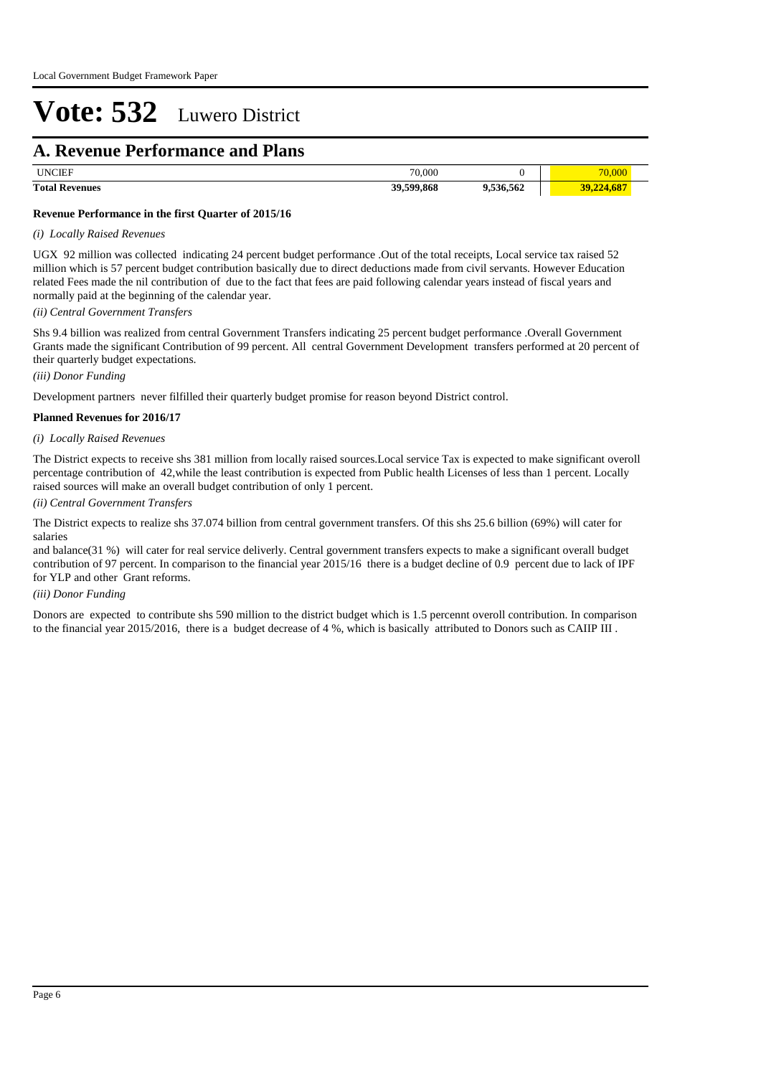## **A. Revenue Performance and Plans**

| <b>TIMOTE</b><br>. INf | 70,000<br>$\overline{\phantom{a}}$ |         |  |
|------------------------|------------------------------------|---------|--|
| <b>Total Revenues</b>  | 39,599,868                         | 536.562 |  |

#### **Revenue Performance in the first Quarter of 2015/16**

#### *(i) Locally Raised Revenues*

UGX 92 million was collected indicating 24 percent budget performance .Out of the total receipts, Local service tax raised 52 million which is 57 percent budget contribution basically due to direct deductions made from civil servants. However Education related Fees made the nil contribution of due to the fact that fees are paid following calendar years instead of fiscal years and normally paid at the beginning of the calendar year.

*(ii) Central Government Transfers*

Shs 9.4 billion was realized from central Government Transfers indicating 25 percent budget performance .Overall Government Grants made the significant Contribution of 99 percent. All central Government Development transfers performed at 20 percent of their quarterly budget expectations.

#### *(iii) Donor Funding*

Development partners never filfilled their quarterly budget promise for reason beyond District control.

#### **Planned Revenues for 2016/17**

#### *(i) Locally Raised Revenues*

The District expects to receive shs 381 million from locally raised sources.Local service Tax is expected to make significant overoll percentage contribution of 42,while the least contribution is expected from Public health Licenses of less than 1 percent. Locally raised sources will make an overall budget contribution of only 1 percent.

#### *(ii) Central Government Transfers*

The District expects to realize shs 37.074 billion from central government transfers. Of this shs 25.6 billion (69%) will cater for salaries

and balance(31 %) will cater for real service deliverly. Central government transfers expects to make a significant overall budget contribution of 97 percent. In comparison to the financial year 2015/16 there is a budget decline of 0.9 percent due to lack of IPF for YLP and other Grant reforms.

#### *(iii) Donor Funding*

Donors are expected to contribute shs 590 million to the district budget which is 1.5 percennt overoll contribution. In comparison to the financial year 2015/2016, there is a budget decrease of 4 %, which is basically attributed to Donors such as CAIIP III .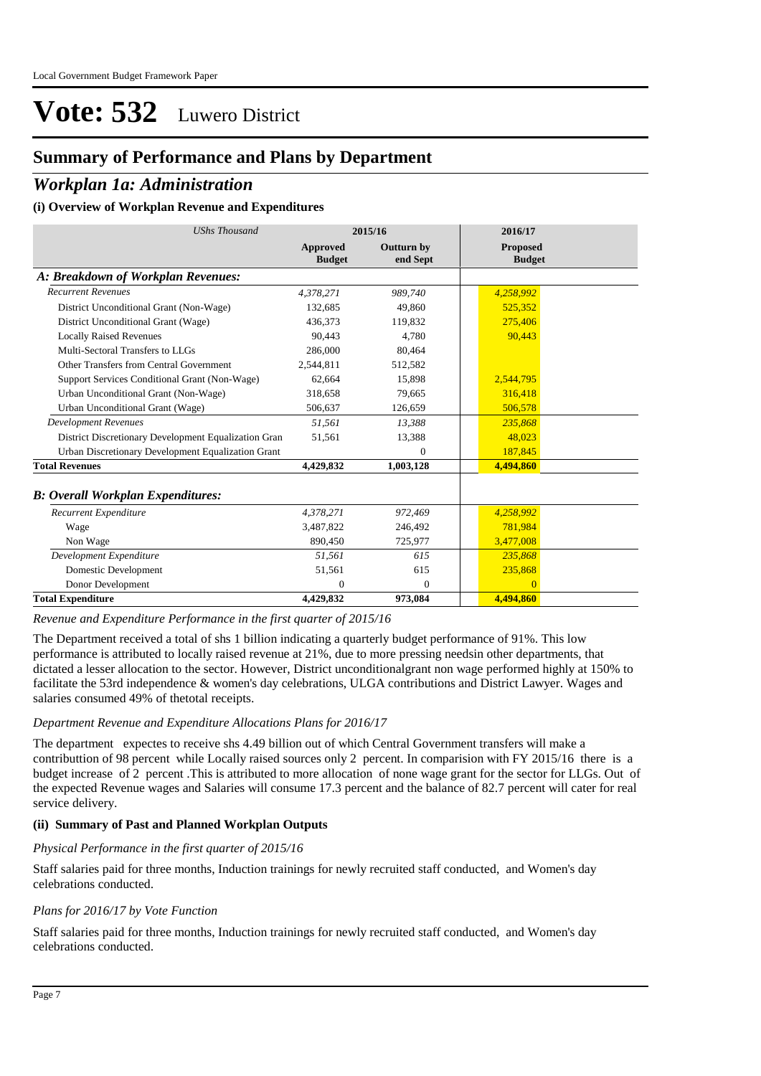### **Summary of Performance and Plans by Department**

### *Workplan 1a: Administration*

#### **(i) Overview of Workplan Revenue and Expenditures**

| <b>UShs Thousand</b>                                 |                                  | 2015/16                       | 2016/17                          |
|------------------------------------------------------|----------------------------------|-------------------------------|----------------------------------|
|                                                      | <b>Approved</b><br><b>Budget</b> | <b>Outturn by</b><br>end Sept | <b>Proposed</b><br><b>Budget</b> |
| A: Breakdown of Workplan Revenues:                   |                                  |                               |                                  |
| <b>Recurrent Revenues</b>                            | 4,378,271                        | 989,740                       | 4,258,992                        |
| District Unconditional Grant (Non-Wage)              | 132.685                          | 49.860                        | 525.352                          |
| District Unconditional Grant (Wage)                  | 436.373                          | 119,832                       | 275,406                          |
| <b>Locally Raised Revenues</b>                       | 90,443                           | 4.780                         | 90,443                           |
| Multi-Sectoral Transfers to LLGs                     | 286,000                          | 80,464                        |                                  |
| Other Transfers from Central Government              | 2,544,811                        | 512,582                       |                                  |
| Support Services Conditional Grant (Non-Wage)        | 62.664                           | 15,898                        | 2,544,795                        |
| Urban Unconditional Grant (Non-Wage)                 | 318,658                          | 79,665                        | 316,418                          |
| Urban Unconditional Grant (Wage)                     | 506,637                          | 126,659                       | 506,578                          |
| <b>Development Revenues</b>                          | 51.561                           | 13,388                        | 235,868                          |
| District Discretionary Development Equalization Gran | 51,561                           | 13,388                        | 48,023                           |
| Urban Discretionary Development Equalization Grant   |                                  | $\Omega$                      | 187,845                          |
| <b>Total Revenues</b>                                | 4,429,832                        | 1,003,128                     | 4,494,860                        |
| <b>B: Overall Workplan Expenditures:</b>             |                                  |                               |                                  |
| Recurrent Expenditure                                | 4,378,271                        | 972,469                       | 4,258,992                        |
| Wage                                                 | 3.487.822                        | 246,492                       | 781.984                          |
| Non Wage                                             | 890,450                          | 725,977                       | 3,477,008                        |
| Development Expenditure                              | 51,561                           | 615                           | 235,868                          |
| Domestic Development                                 | 51,561                           | 615                           | 235,868                          |
| Donor Development                                    | $\mathbf{0}$                     | $\mathbf{0}$                  | $\Omega$                         |
| <b>Total Expenditure</b>                             | 4,429,832                        | 973,084                       | 4,494,860                        |

*Revenue and Expenditure Performance in the first quarter of 2015/16*

The Department received a total of shs 1 billion indicating a quarterly budget performance of 91%. This low performance is attributed to locally raised revenue at 21%, due to more pressing needsin other departments, that dictated a lesser allocation to the sector. However, District unconditionalgrant non wage performed highly at 150% to facilitate the 53rd independence & women's day celebrations, ULGA contributions and District Lawyer. Wages and salaries consumed 49% of thetotal receipts.

#### *Department Revenue and Expenditure Allocations Plans for 2016/17*

The department expectes to receive shs 4.49 billion out of which Central Government transfers will make a contributtion of 98 percent while Locally raised sources only 2 percent. In comparision with FY 2015/16 there is a budget increase of 2 percent .This is attributed to more allocation of none wage grant for the sector for LLGs. Out of the expected Revenue wages and Salaries will consume 17.3 percent and the balance of 82.7 percent will cater for real service delivery.

#### **(ii) Summary of Past and Planned Workplan Outputs**

#### *Physical Performance in the first quarter of 2015/16*

Staff salaries paid for three months, Induction trainings for newly recruited staff conducted, and Women's day celebrations conducted.

#### *Plans for 2016/17 by Vote Function*

Staff salaries paid for three months, Induction trainings for newly recruited staff conducted, and Women's day celebrations conducted.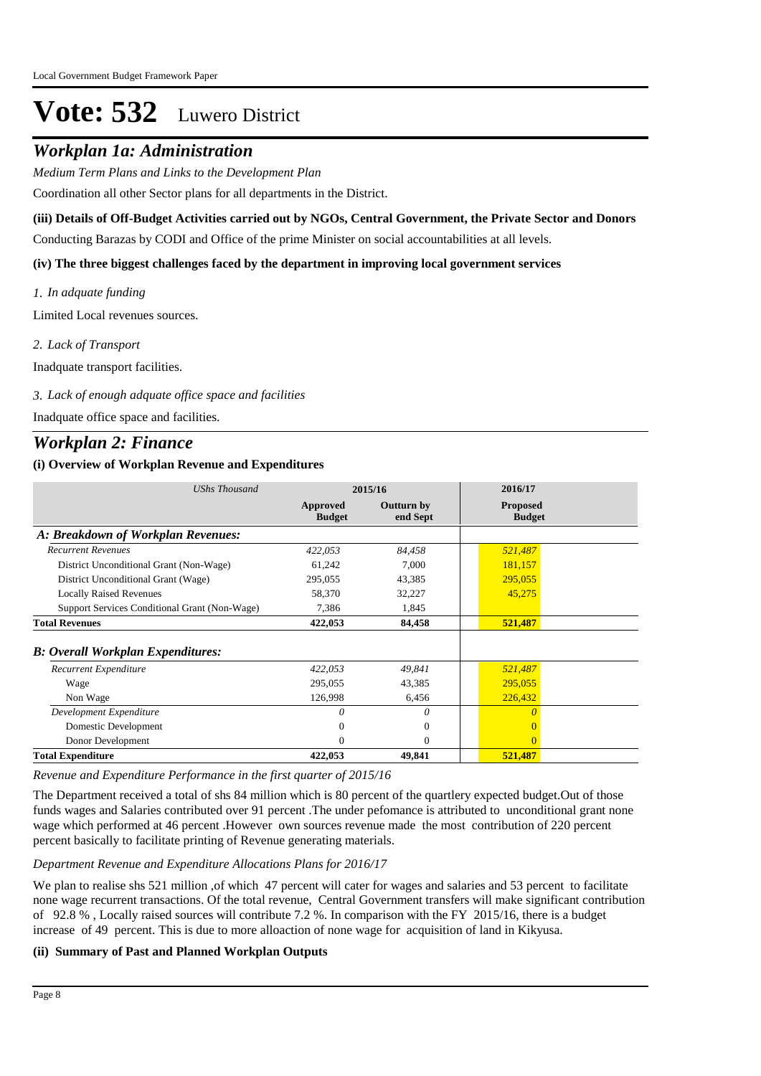### *Workplan 1a: Administration*

*Medium Term Plans and Links to the Development Plan*

Coordination all other Sector plans for all departments in the District.

**(iii) Details of Off-Budget Activities carried out by NGOs, Central Government, the Private Sector and Donors** 

Conducting Barazas by CODI and Office of the prime Minister on social accountabilities at all levels.

#### **(iv) The three biggest challenges faced by the department in improving local government services**

*In adquate funding 1.* Limited Local revenues sources.

*Lack of Transport 2.*

Inadquate transport facilities.

#### *Lack of enough adquate office space and facilities 3.*

Inadquate office space and facilities.

### *Workplan 2: Finance*

#### **(i) Overview of Workplan Revenue and Expenditures**

| <b>UShs Thousand</b>                          |                           | 2015/16                | 2016/17                          |
|-----------------------------------------------|---------------------------|------------------------|----------------------------------|
|                                               | Approved<br><b>Budget</b> | Outturn by<br>end Sept | <b>Proposed</b><br><b>Budget</b> |
| A: Breakdown of Workplan Revenues:            |                           |                        |                                  |
| <b>Recurrent Revenues</b>                     | 422,053                   | 84,458                 | 521,487                          |
| District Unconditional Grant (Non-Wage)       | 61,242                    | 7,000                  | 181,157                          |
| District Unconditional Grant (Wage)           | 295,055                   | 43,385                 | 295,055                          |
| <b>Locally Raised Revenues</b>                | 58,370                    | 32,227                 | 45,275                           |
| Support Services Conditional Grant (Non-Wage) | 7,386                     | 1,845                  |                                  |
| <b>Total Revenues</b>                         | 422,053                   | 84,458                 | 521,487                          |
| <b>B: Overall Workplan Expenditures:</b>      |                           |                        |                                  |
| Recurrent Expenditure                         | 422,053                   | 49,841                 | 521,487                          |
| Wage                                          | 295,055                   | 43,385                 | 295,055                          |
| Non Wage                                      | 126,998                   | 6,456                  | 226,432                          |
| Development Expenditure                       | 0                         | 0                      |                                  |
| Domestic Development                          | 0                         | $\Omega$               |                                  |
| Donor Development                             | 0                         | $\Omega$               | $\Omega$                         |
| <b>Total Expenditure</b>                      | 422,053                   | 49,841                 | 521,487                          |

*Revenue and Expenditure Performance in the first quarter of 2015/16*

The Department received a total of shs 84 million which is 80 percent of the quartlery expected budget.Out of those funds wages and Salaries contributed over 91 percent .The under pefomance is attributed to unconditional grant none wage which performed at 46 percent .However own sources revenue made the most contribution of 220 percent percent basically to facilitate printing of Revenue generating materials.

#### *Department Revenue and Expenditure Allocations Plans for 2016/17*

We plan to realise shs 521 million , of which 47 percent will cater for wages and salaries and 53 percent to facilitate none wage recurrent transactions. Of the total revenue, Central Government transfers will make significant contribution of 92.8 % , Locally raised sources will contribute 7.2 %. In comparison with the FY 2015/16, there is a budget increase of 49 percent. This is due to more alloaction of none wage for acquisition of land in Kikyusa.

#### **(ii) Summary of Past and Planned Workplan Outputs**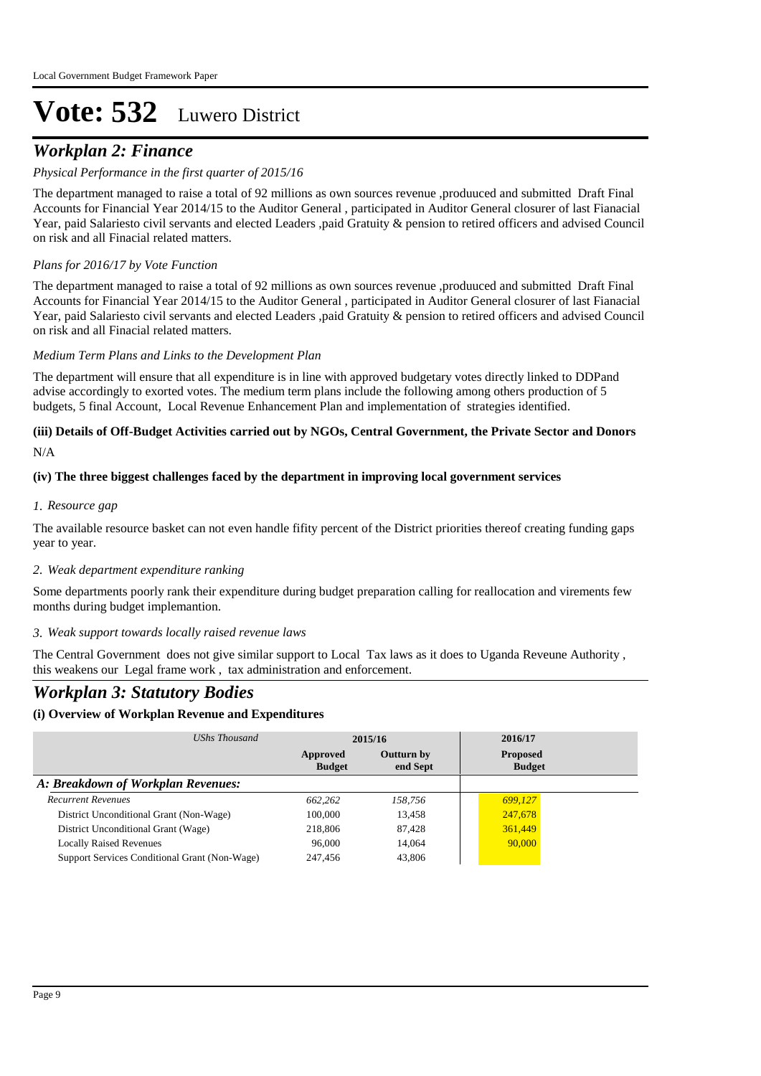## *Workplan 2: Finance*

#### *Physical Performance in the first quarter of 2015/16*

The department managed to raise a total of 92 millions as own sources revenue ,produuced and submitted Draft Final Accounts for Financial Year 2014/15 to the Auditor General , participated in Auditor General closurer of last Fianacial Year, paid Salariesto civil servants and elected Leaders ,paid Gratuity & pension to retired officers and advised Council on risk and all Finacial related matters.

#### *Plans for 2016/17 by Vote Function*

The department managed to raise a total of 92 millions as own sources revenue ,produuced and submitted Draft Final Accounts for Financial Year 2014/15 to the Auditor General , participated in Auditor General closurer of last Fianacial Year, paid Salariesto civil servants and elected Leaders ,paid Gratuity & pension to retired officers and advised Council on risk and all Finacial related matters.

#### *Medium Term Plans and Links to the Development Plan*

The department will ensure that all expenditure is in line with approved budgetary votes directly linked to DDPand advise accordingly to exorted votes. The medium term plans include the following among others production of 5 budgets, 5 final Account, Local Revenue Enhancement Plan and implementation of strategies identified.

## **(iii) Details of Off-Budget Activities carried out by NGOs, Central Government, the Private Sector and Donors**

N/A

#### **(iv) The three biggest challenges faced by the department in improving local government services**

#### *Resource gap 1.*

The available resource basket can not even handle fifity percent of the District priorities thereof creating funding gaps year to year.

#### *Weak department expenditure ranking 2.*

Some departments poorly rank their expenditure during budget preparation calling for reallocation and virements few months during budget implemantion.

#### *Weak support towards locally raised revenue laws 3.*

The Central Government does not give similar support to Local Tax laws as it does to Uganda Reveune Authority , this weakens our Legal frame work , tax administration and enforcement.

### *Workplan 3: Statutory Bodies*

### **(i) Overview of Workplan Revenue and Expenditures**

| UShs Thousand                                 | 2015/16                   |                               | 2016/17                          |
|-----------------------------------------------|---------------------------|-------------------------------|----------------------------------|
|                                               | Approved<br><b>Budget</b> | <b>Outturn by</b><br>end Sept | <b>Proposed</b><br><b>Budget</b> |
| A: Breakdown of Workplan Revenues:            |                           |                               |                                  |
| <b>Recurrent Revenues</b>                     | 662.262                   | 158,756                       | 699,127                          |
| District Unconditional Grant (Non-Wage)       | 100,000                   | 13.458                        | 247,678                          |
| District Unconditional Grant (Wage)           | 218,806                   | 87,428                        | 361,449                          |
| <b>Locally Raised Revenues</b>                | 96,000                    | 14.064                        | 90,000                           |
| Support Services Conditional Grant (Non-Wage) | 247.456                   | 43,806                        |                                  |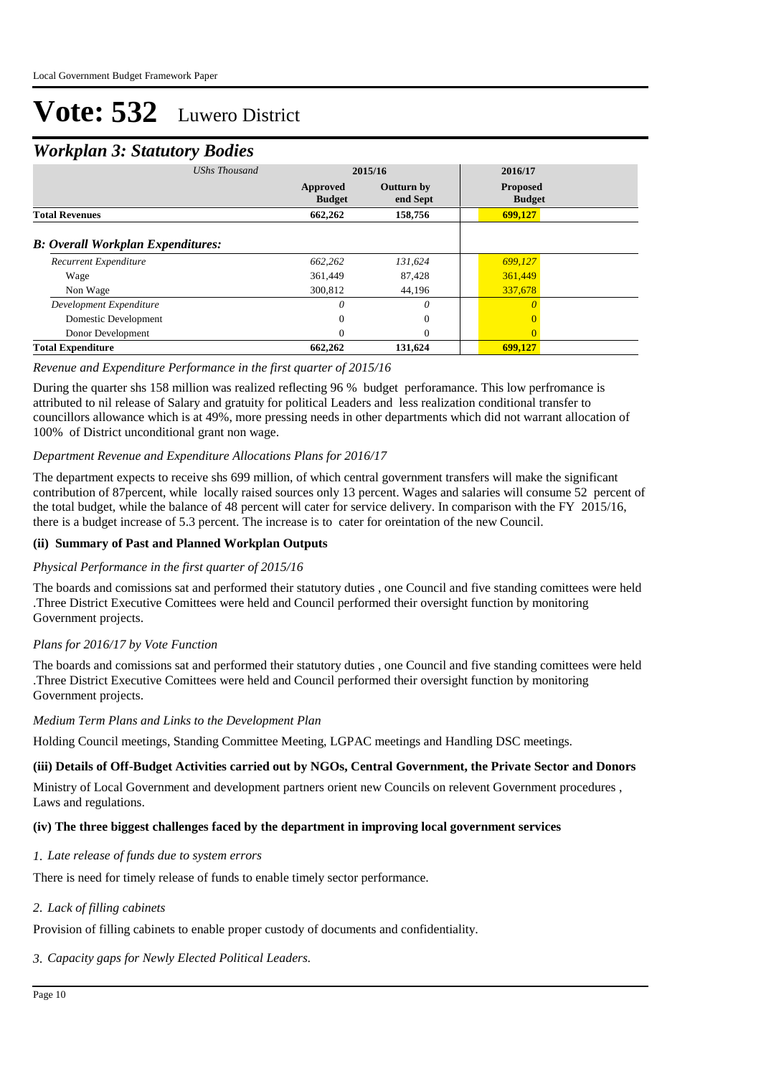### *Workplan 3: Statutory Bodies*

|                                          | ັ                    |                           |                               |                                  |  |
|------------------------------------------|----------------------|---------------------------|-------------------------------|----------------------------------|--|
|                                          | <b>UShs Thousand</b> | 2015/16                   |                               | 2016/17                          |  |
|                                          |                      | Approved<br><b>Budget</b> | <b>Outturn by</b><br>end Sept | <b>Proposed</b><br><b>Budget</b> |  |
| <b>Total Revenues</b>                    |                      | 662,262                   | 158,756                       | 699,127                          |  |
| <b>B: Overall Workplan Expenditures:</b> |                      |                           |                               |                                  |  |
| Recurrent Expenditure                    |                      | 662,262                   | 131,624                       | 699,127                          |  |
| Wage                                     |                      | 361,449                   | 87,428                        | 361,449                          |  |
| Non Wage                                 |                      | 300,812                   | 44,196                        | 337,678                          |  |
| Development Expenditure                  |                      | 0                         | 0                             | $\theta$                         |  |
| Domestic Development                     |                      | 0                         | $\mathbf{0}$                  | $\Omega$                         |  |
| Donor Development                        |                      | 0                         | $\Omega$                      | $\Omega$                         |  |
| <b>Total Expenditure</b>                 |                      | 662,262                   | 131,624                       | 699,127                          |  |

#### *Revenue and Expenditure Performance in the first quarter of 2015/16*

During the quarter shs 158 million was realized reflecting 96 % budget perforamance. This low perfromance is attributed to nil release of Salary and gratuity for political Leaders and less realization conditional transfer to councillors allowance which is at 49%, more pressing needs in other departments which did not warrant allocation of 100% of District unconditional grant non wage.

#### *Department Revenue and Expenditure Allocations Plans for 2016/17*

The department expects to receive shs 699 million, of which central government transfers will make the significant contribution of 87percent, while locally raised sources only 13 percent. Wages and salaries will consume 52 percent of the total budget, while the balance of 48 percent will cater for service delivery. In comparison with the FY 2015/16, there is a budget increase of 5.3 percent. The increase is to cater for oreintation of the new Council.

#### **(ii) Summary of Past and Planned Workplan Outputs**

#### *Physical Performance in the first quarter of 2015/16*

The boards and comissions sat and performed their statutory duties , one Council and five standing comittees were held .Three District Executive Comittees were held and Council performed their oversight function by monitoring Government projects.

#### *Plans for 2016/17 by Vote Function*

The boards and comissions sat and performed their statutory duties , one Council and five standing comittees were held .Three District Executive Comittees were held and Council performed their oversight function by monitoring Government projects.

#### *Medium Term Plans and Links to the Development Plan*

Holding Council meetings, Standing Committee Meeting, LGPAC meetings and Handling DSC meetings.

#### **(iii) Details of Off-Budget Activities carried out by NGOs, Central Government, the Private Sector and Donors**

Ministry of Local Government and development partners orient new Councils on relevent Government procedures , Laws and regulations.

#### **(iv) The three biggest challenges faced by the department in improving local government services**

#### *Late release of funds due to system errors 1.*

There is need for timely release of funds to enable timely sector performance.

#### *Lack of filling cabinets 2.*

Provision of filling cabinets to enable proper custody of documents and confidentiality.

*Capacity gaps for Newly Elected Political Leaders. 3.*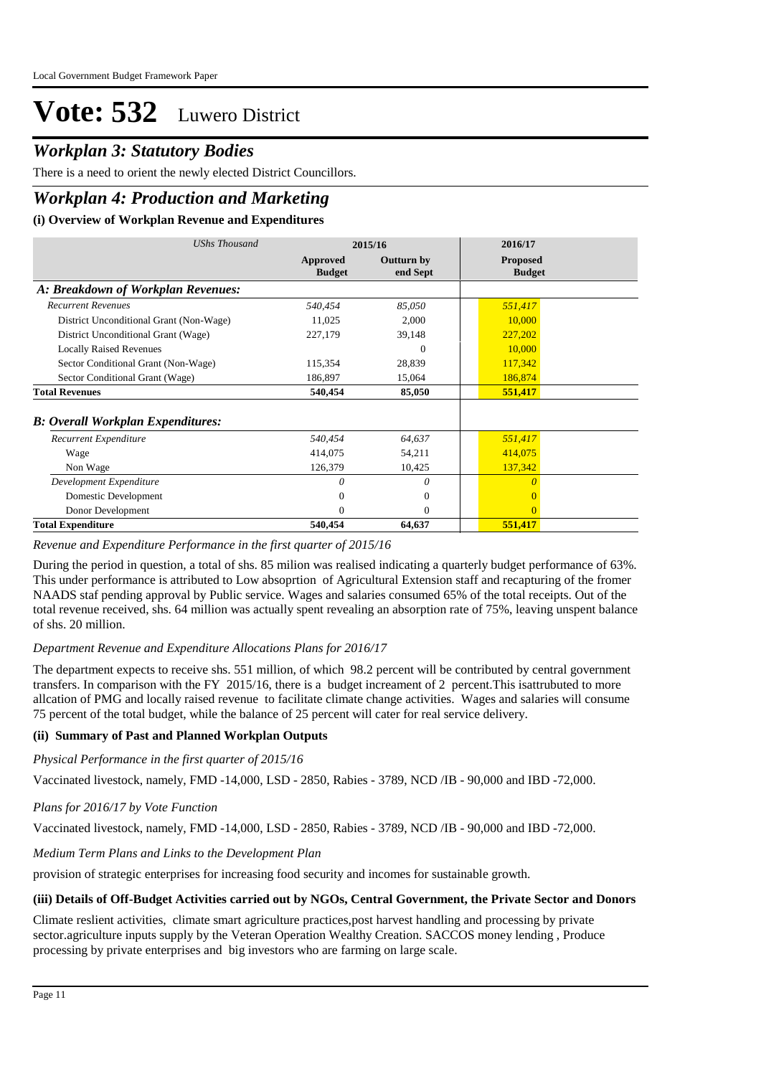## *Workplan 3: Statutory Bodies*

There is a need to orient the newly elected District Councillors.

## *Workplan 4: Production and Marketing*

#### **(i) Overview of Workplan Revenue and Expenditures**

| UShs Thousand                             |                           | 2015/16                       | 2016/17                          |
|-------------------------------------------|---------------------------|-------------------------------|----------------------------------|
|                                           | Approved<br><b>Budget</b> | <b>Outturn by</b><br>end Sept | <b>Proposed</b><br><b>Budget</b> |
| A: Breakdown of Workplan Revenues:        |                           |                               |                                  |
| <b>Recurrent Revenues</b>                 | 540,454                   | 85,050                        | 551,417                          |
| District Unconditional Grant (Non-Wage)   | 11,025                    | 2,000                         | 10,000                           |
| District Unconditional Grant (Wage)       | 227,179                   | 39,148                        | 227,202                          |
| <b>Locally Raised Revenues</b>            |                           | $\Omega$                      | 10,000                           |
| Sector Conditional Grant (Non-Wage)       | 115,354                   | 28,839                        | 117,342                          |
| Sector Conditional Grant (Wage)           | 186,897                   | 15,064                        | 186,874                          |
| <b>Total Revenues</b>                     | 540,454                   | 85,050                        | 551,417                          |
| <b>B</b> : Overall Workplan Expenditures: |                           |                               |                                  |
| Recurrent Expenditure                     | 540,454                   | 64,637                        | 551,417                          |
| Wage                                      | 414,075                   | 54,211                        | 414,075                          |
| Non Wage                                  | 126,379                   | 10,425                        | 137,342                          |
| Development Expenditure                   | $\theta$                  | $\theta$                      |                                  |
| Domestic Development                      | 0                         | $\overline{0}$                |                                  |
| Donor Development                         | $\Omega$                  | $\Omega$                      | $\Omega$                         |
| <b>Total Expenditure</b>                  | 540,454                   | 64,637                        | 551,417                          |

#### *Revenue and Expenditure Performance in the first quarter of 2015/16*

During the period in question, a total of shs. 85 milion was realised indicating a quarterly budget performance of 63%. This under performance is attributed to Low absoprtion of Agricultural Extension staff and recapturing of the fromer NAADS staf pending approval by Public service. Wages and salaries consumed 65% of the total receipts. Out of the total revenue received, shs. 64 million was actually spent revealing an absorption rate of 75%, leaving unspent balance of shs. 20 million.

#### *Department Revenue and Expenditure Allocations Plans for 2016/17*

The department expects to receive shs. 551 million, of which 98.2 percent will be contributed by central government transfers. In comparison with the FY 2015/16, there is a budget increament of 2 percent.This isattrubuted to more allcation of PMG and locally raised revenue to facilitate climate change activities. Wages and salaries will consume 75 percent of the total budget, while the balance of 25 percent will cater for real service delivery.

#### **(ii) Summary of Past and Planned Workplan Outputs**

*Physical Performance in the first quarter of 2015/16*

Vaccinated livestock, namely, FMD -14,000, LSD - 2850, Rabies - 3789, NCD /IB - 90,000 and IBD -72,000.

#### *Plans for 2016/17 by Vote Function*

Vaccinated livestock, namely, FMD -14,000, LSD - 2850, Rabies - 3789, NCD /IB - 90,000 and IBD -72,000.

#### *Medium Term Plans and Links to the Development Plan*

provision of strategic enterprises for increasing food security and incomes for sustainable growth.

#### **(iii) Details of Off-Budget Activities carried out by NGOs, Central Government, the Private Sector and Donors**

Climate reslient activities, climate smart agriculture practices,post harvest handling and processing by private sector.agriculture inputs supply by the Veteran Operation Wealthy Creation. SACCOS money lending , Produce processing by private enterprises and big investors who are farming on large scale.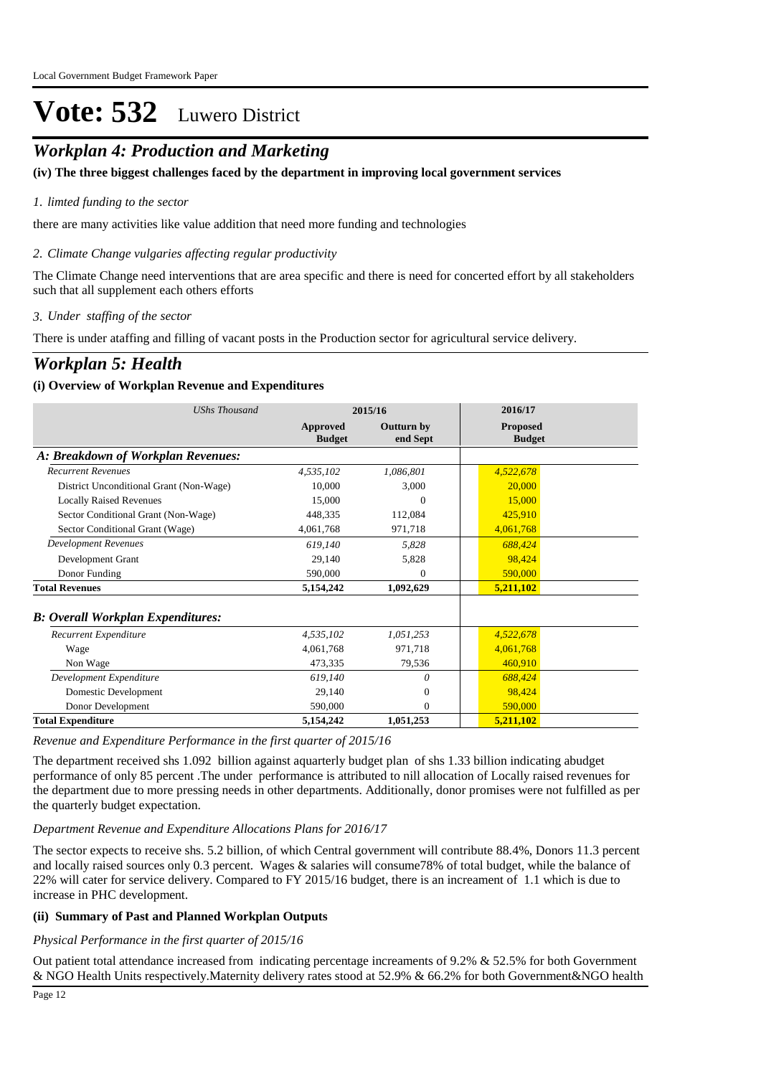## *Workplan 4: Production and Marketing*

### **(iv) The three biggest challenges faced by the department in improving local government services**

### *limted funding to the sector 1.*

there are many activities like value addition that need more funding and technologies

### *Climate Change vulgaries affecting regular productivity 2.*

The Climate Change need interventions that are area specific and there is need for concerted effort by all stakeholders such that all supplement each others efforts

### *Under staffing of the sector 3.*

There is under ataffing and filling of vacant posts in the Production sector for agricultural service delivery.

## *Workplan 5: Health*

### **(i) Overview of Workplan Revenue and Expenditures**

| <b>UShs Thousand</b>                     | 2015/16                   |                        | 2016/17                          |
|------------------------------------------|---------------------------|------------------------|----------------------------------|
|                                          | Approved<br><b>Budget</b> | Outturn by<br>end Sept | <b>Proposed</b><br><b>Budget</b> |
| A: Breakdown of Workplan Revenues:       |                           |                        |                                  |
| <b>Recurrent Revenues</b>                | 4,535,102                 | 1,086,801              | 4,522,678                        |
| District Unconditional Grant (Non-Wage)  | 10,000                    | 3.000                  | 20,000                           |
| <b>Locally Raised Revenues</b>           | 15,000                    | 0                      | 15,000                           |
| Sector Conditional Grant (Non-Wage)      | 448,335                   | 112,084                | 425,910                          |
| Sector Conditional Grant (Wage)          | 4,061,768                 | 971,718                | 4,061,768                        |
| <b>Development Revenues</b>              | 619.140                   | 5,828                  | 688,424                          |
| Development Grant                        | 29.140                    | 5,828                  | 98,424                           |
| Donor Funding                            | 590,000                   | $\Omega$               | 590,000                          |
| <b>Total Revenues</b>                    | 5,154,242                 | 1,092,629              | 5,211,102                        |
| <b>B: Overall Workplan Expenditures:</b> |                           |                        |                                  |
| Recurrent Expenditure                    | 4,535,102                 | 1,051,253              | 4,522,678                        |
| Wage                                     | 4,061,768                 | 971,718                | 4,061,768                        |
| Non Wage                                 | 473,335                   | 79,536                 | 460,910                          |
| Development Expenditure                  | 619.140                   | 0                      | 688,424                          |
| Domestic Development                     | 29,140                    | $\boldsymbol{0}$       | 98,424                           |
| Donor Development                        | 590,000                   | $\mathbf{0}$           | 590,000                          |
| <b>Total Expenditure</b>                 | 5,154,242                 | 1,051,253              | 5,211,102                        |

#### *Revenue and Expenditure Performance in the first quarter of 2015/16*

The department received shs 1.092 billion against aquarterly budget plan of shs 1.33 billion indicating abudget performance of only 85 percent .The under performance is attributed to nill allocation of Locally raised revenues for the department due to more pressing needs in other departments. Additionally, donor promises were not fulfilled as per the quarterly budget expectation.

### *Department Revenue and Expenditure Allocations Plans for 2016/17*

The sector expects to receive shs. 5.2 billion, of which Central government will contribute 88.4%, Donors 11.3 percent and locally raised sources only 0.3 percent. Wages & salaries will consume78% of total budget, while the balance of 22% will cater for service delivery. Compared to FY 2015/16 budget, there is an increament of 1.1 which is due to increase in PHC development.

### **(ii) Summary of Past and Planned Workplan Outputs**

### *Physical Performance in the first quarter of 2015/16*

Out patient total attendance increased from indicating percentage increaments of 9.2% & 52.5% for both Government & NGO Health Units respectively.Maternity delivery rates stood at 52.9% & 66.2% for both Government&NGO health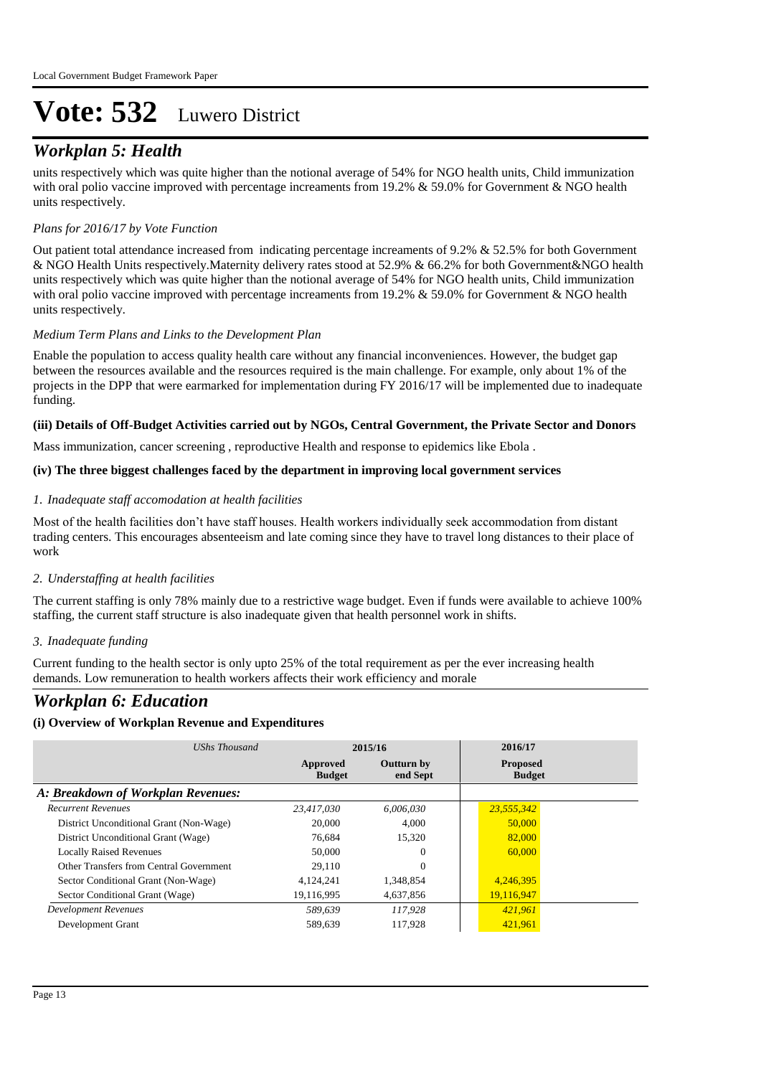## *Workplan 5: Health*

units respectively which was quite higher than the notional average of 54% for NGO health units, Child immunization with oral polio vaccine improved with percentage increaments from 19.2% & 59.0% for Government & NGO health units respectively.

#### *Plans for 2016/17 by Vote Function*

Out patient total attendance increased from indicating percentage increaments of 9.2% & 52.5% for both Government & NGO Health Units respectively.Maternity delivery rates stood at 52.9% & 66.2% for both Government&NGO health units respectively which was quite higher than the notional average of 54% for NGO health units, Child immunization with oral polio vaccine improved with percentage increaments from 19.2% & 59.0% for Government & NGO health units respectively.

#### *Medium Term Plans and Links to the Development Plan*

Enable the population to access quality health care without any financial inconveniences. However, the budget gap between the resources available and the resources required is the main challenge. For example, only about 1% of the projects in the DPP that were earmarked for implementation during FY 2016/17 will be implemented due to inadequate funding.

#### **(iii) Details of Off-Budget Activities carried out by NGOs, Central Government, the Private Sector and Donors**

Mass immunization, cancer screening , reproductive Health and response to epidemics like Ebola .

#### **(iv) The three biggest challenges faced by the department in improving local government services**

#### *Inadequate staff accomodation at health facilities 1.*

Most of the health facilities don't have staff houses. Health workers individually seek accommodation from distant trading centers. This encourages absenteeism and late coming since they have to travel long distances to their place of work

#### *Understaffing at health facilities 2.*

The current staffing is only 78% mainly due to a restrictive wage budget. Even if funds were available to achieve 100% staffing, the current staff structure is also inadequate given that health personnel work in shifts.

#### *Inadequate funding 3.*

Current funding to the health sector is only upto 25% of the total requirement as per the ever increasing health demands. Low remuneration to health workers affects their work efficiency and morale

### *Workplan 6: Education*

#### **(i) Overview of Workplan Revenue and Expenditures**

| UShs Thousand                           |                           | 2015/16                       | 2016/17                          |
|-----------------------------------------|---------------------------|-------------------------------|----------------------------------|
|                                         | Approved<br><b>Budget</b> | <b>Outturn by</b><br>end Sept | <b>Proposed</b><br><b>Budget</b> |
| A: Breakdown of Workplan Revenues:      |                           |                               |                                  |
| <b>Recurrent Revenues</b>               | 23,417,030                | 6,006,030                     | 23,555,342                       |
| District Unconditional Grant (Non-Wage) | 20,000                    | 4.000                         | 50,000                           |
| District Unconditional Grant (Wage)     | 76,684                    | 15,320                        | 82,000                           |
| <b>Locally Raised Revenues</b>          | 50,000                    | $\Omega$                      | 60,000                           |
| Other Transfers from Central Government | 29.110                    | $\Omega$                      |                                  |
| Sector Conditional Grant (Non-Wage)     | 4.124.241                 | 1,348,854                     | 4,246,395                        |
| Sector Conditional Grant (Wage)         | 19,116,995                | 4,637,856                     | 19,116,947                       |
| <b>Development Revenues</b>             | 589.639                   | 117.928                       | 421.961                          |
| Development Grant                       | 589,639                   | 117.928                       | 421,961                          |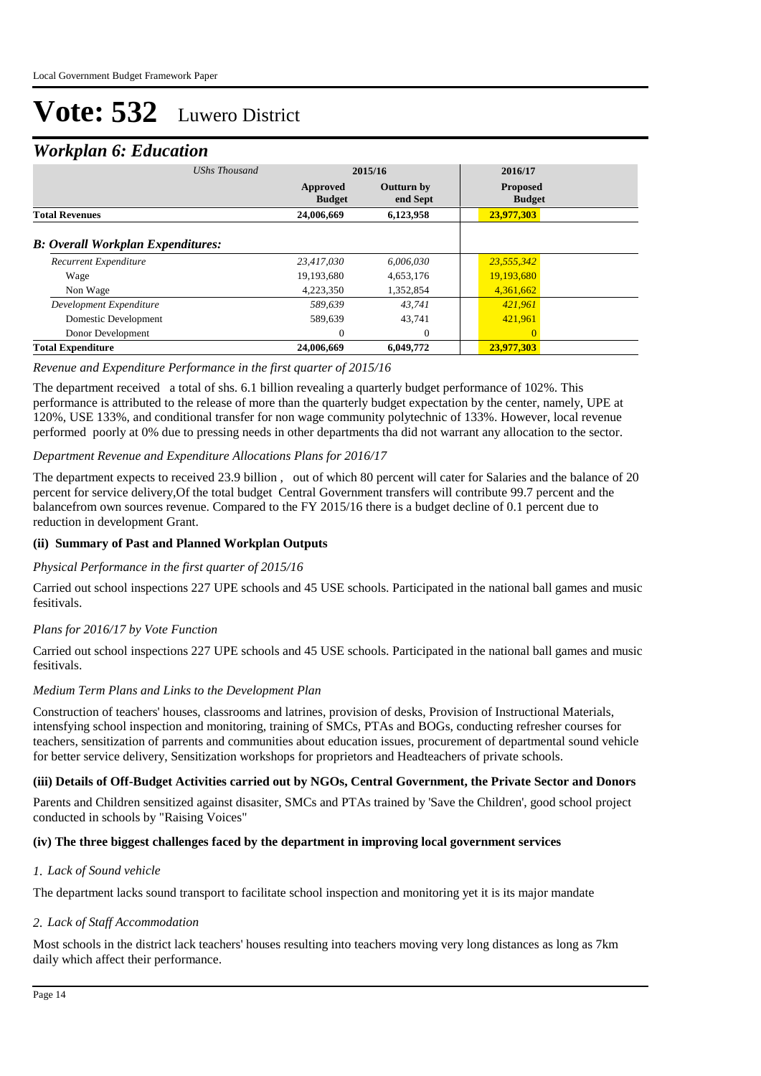### *Workplan 6: Education*

| <b>UShs Thousand</b>                      |                           | 2015/16                       | 2016/17                          |  |
|-------------------------------------------|---------------------------|-------------------------------|----------------------------------|--|
|                                           | Approved<br><b>Budget</b> | <b>Outturn by</b><br>end Sept | <b>Proposed</b><br><b>Budget</b> |  |
| <b>Total Revenues</b>                     | 24,006,669                | 6,123,958                     | 23,977,303                       |  |
| <b>B</b> : Overall Workplan Expenditures: |                           |                               |                                  |  |
| Recurrent Expenditure                     | 23,417,030                | 6,006,030                     | 23,555,342                       |  |
| Wage                                      | 19,193,680                | 4,653,176                     | 19,193,680                       |  |
| Non Wage                                  | 4,223,350                 | 1,352,854                     | 4,361,662                        |  |
| Development Expenditure                   | 589.639                   | 43.741                        | 421.961                          |  |
| Domestic Development                      | 589.639                   | 43.741                        | 421,961                          |  |
| Donor Development                         | $\overline{0}$            | $\mathbf{0}$                  | $\Omega$                         |  |
| <b>Total Expenditure</b>                  | 24,006,669                | 6,049,772                     | 23,977,303                       |  |

#### *Revenue and Expenditure Performance in the first quarter of 2015/16*

The department received a total of shs. 6.1 billion revealing a quarterly budget performance of 102%. This performance is attributed to the release of more than the quarterly budget expectation by the center, namely, UPE at 120%, USE 133%, and conditional transfer for non wage community polytechnic of 133%. However, local revenue performed poorly at 0% due to pressing needs in other departments tha did not warrant any allocation to the sector.

#### *Department Revenue and Expenditure Allocations Plans for 2016/17*

The department expects to received 23.9 billion , out of which 80 percent will cater for Salaries and the balance of 20 percent for service delivery,Of the total budget Central Government transfers will contribute 99.7 percent and the balancefrom own sources revenue. Compared to the FY 2015/16 there is a budget decline of 0.1 percent due to reduction in development Grant.

#### **(ii) Summary of Past and Planned Workplan Outputs**

#### *Physical Performance in the first quarter of 2015/16*

Carried out school inspections 227 UPE schools and 45 USE schools. Participated in the national ball games and music fesitivals.

#### *Plans for 2016/17 by Vote Function*

Carried out school inspections 227 UPE schools and 45 USE schools. Participated in the national ball games and music fesitivals.

#### *Medium Term Plans and Links to the Development Plan*

Construction of teachers' houses, classrooms and latrines, provision of desks, Provision of Instructional Materials, intensfying school inspection and monitoring, training of SMCs, PTAs and BOGs, conducting refresher courses for teachers, sensitization of parrents and communities about education issues, procurement of departmental sound vehicle for better service delivery, Sensitization workshops for proprietors and Headteachers of private schools.

#### **(iii) Details of Off-Budget Activities carried out by NGOs, Central Government, the Private Sector and Donors**

Parents and Children sensitized against disasiter, SMCs and PTAs trained by 'Save the Children', good school project conducted in schools by "Raising Voices"

#### **(iv) The three biggest challenges faced by the department in improving local government services**

#### *Lack of Sound vehicle 1.*

The department lacks sound transport to facilitate school inspection and monitoring yet it is its major mandate

#### *Lack of Staff Accommodation 2.*

Most schools in the district lack teachers' houses resulting into teachers moving very long distances as long as 7km daily which affect their performance.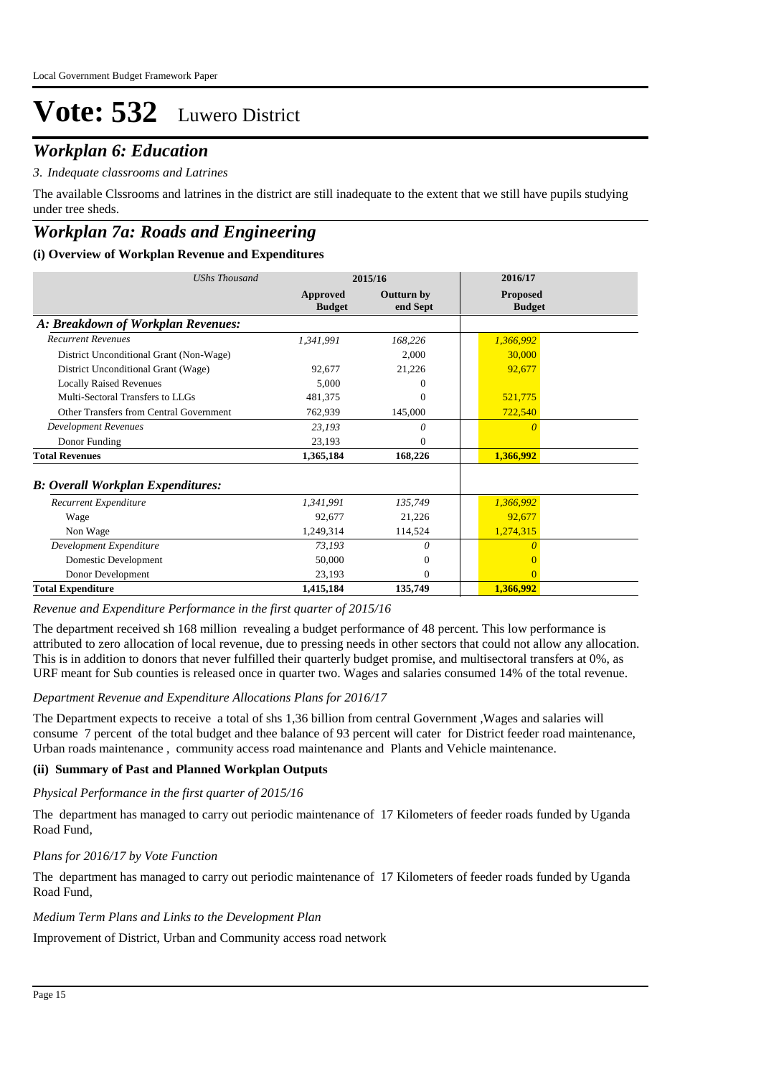## *Workplan 6: Education*

#### *Indequate classrooms and Latrines 3.*

The available Clssrooms and latrines in the district are still inadequate to the extent that we still have pupils studying under tree sheds.

## *Workplan 7a: Roads and Engineering*

#### **(i) Overview of Workplan Revenue and Expenditures**

| <b>UShs Thousand</b>                      | 2015/16                   |                               | 2016/17                          |
|-------------------------------------------|---------------------------|-------------------------------|----------------------------------|
|                                           | Approved<br><b>Budget</b> | <b>Outturn by</b><br>end Sept | <b>Proposed</b><br><b>Budget</b> |
| A: Breakdown of Workplan Revenues:        |                           |                               |                                  |
| <b>Recurrent Revenues</b>                 | 1,341,991                 | 168,226                       | 1,366,992                        |
| District Unconditional Grant (Non-Wage)   |                           | 2,000                         | 30,000                           |
| District Unconditional Grant (Wage)       | 92.677                    | 21,226                        | 92,677                           |
| <b>Locally Raised Revenues</b>            | 5,000                     | 0                             |                                  |
| Multi-Sectoral Transfers to LLGs          | 481,375                   | 0                             | 521,775                          |
| Other Transfers from Central Government   | 762,939                   | 145,000                       | 722,540                          |
| <b>Development Revenues</b>               | 23,193                    | 0                             |                                  |
| Donor Funding                             | 23,193                    | $\Omega$                      |                                  |
| <b>Total Revenues</b>                     | 1,365,184                 | 168,226                       | 1,366,992                        |
| <b>B</b> : Overall Workplan Expenditures: |                           |                               |                                  |
| Recurrent Expenditure                     | 1,341,991                 | 135,749                       | 1,366,992                        |
| Wage                                      | 92,677                    | 21,226                        | 92,677                           |
| Non Wage                                  | 1,249,314                 | 114,524                       | 1,274,315                        |
| Development Expenditure                   | 73,193                    | $\theta$                      |                                  |
| Domestic Development                      | 50,000                    | $\Omega$                      |                                  |
| Donor Development                         | 23,193                    | $\Omega$                      | $\Omega$                         |
| <b>Total Expenditure</b>                  | 1,415,184                 | 135,749                       | 1,366,992                        |

#### *Revenue and Expenditure Performance in the first quarter of 2015/16*

The department received sh 168 million revealing a budget performance of 48 percent. This low performance is attributed to zero allocation of local revenue, due to pressing needs in other sectors that could not allow any allocation. This is in addition to donors that never fulfilled their quarterly budget promise, and multisectoral transfers at 0%, as URF meant for Sub counties is released once in quarter two. Wages and salaries consumed 14% of the total revenue.

#### *Department Revenue and Expenditure Allocations Plans for 2016/17*

The Department expects to receive a total of shs 1,36 billion from central Government ,Wages and salaries will consume 7 percent of the total budget and thee balance of 93 percent will cater for District feeder road maintenance, Urban roads maintenance , community access road maintenance and Plants and Vehicle maintenance.

#### **(ii) Summary of Past and Planned Workplan Outputs**

#### *Physical Performance in the first quarter of 2015/16*

The department has managed to carry out periodic maintenance of 17 Kilometers of feeder roads funded by Uganda Road Fund,

#### *Plans for 2016/17 by Vote Function*

The department has managed to carry out periodic maintenance of 17 Kilometers of feeder roads funded by Uganda Road Fund,

#### *Medium Term Plans and Links to the Development Plan*

Improvement of District, Urban and Community access road network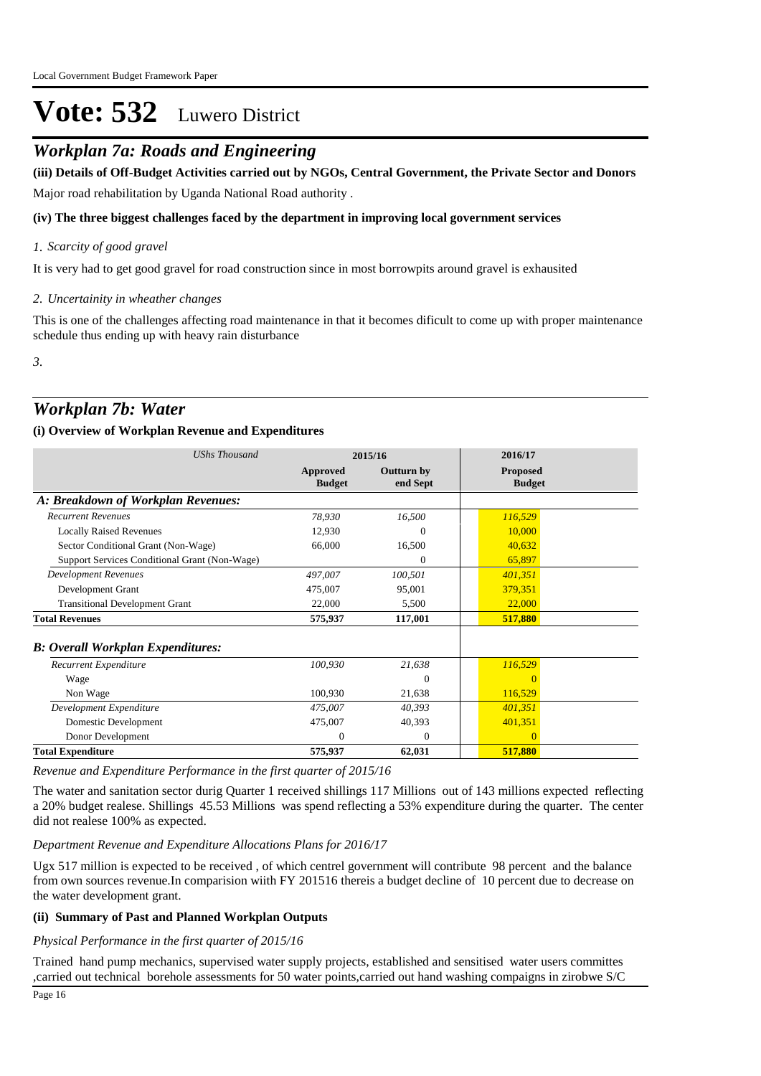## *Workplan 7a: Roads and Engineering*

Major road rehabilitation by Uganda National Road authority . **(iii) Details of Off-Budget Activities carried out by NGOs, Central Government, the Private Sector and Donors** 

#### **(iv) The three biggest challenges faced by the department in improving local government services**

#### *Scarcity of good gravel 1.*

It is very had to get good gravel for road construction since in most borrowpits around gravel is exhausited

#### *Uncertainity in wheather changes 2.*

This is one of the challenges affecting road maintenance in that it becomes dificult to come up with proper maintenance schedule thus ending up with heavy rain disturbance

*3.*

## *Workplan 7b: Water*

#### **(i) Overview of Workplan Revenue and Expenditures**

| <b>UShs Thousand</b>                          | 2015/16                   |                               | 2016/17                          |
|-----------------------------------------------|---------------------------|-------------------------------|----------------------------------|
|                                               | Approved<br><b>Budget</b> | <b>Outturn by</b><br>end Sept | <b>Proposed</b><br><b>Budget</b> |
| A: Breakdown of Workplan Revenues:            |                           |                               |                                  |
| <b>Recurrent Revenues</b>                     | 78,930                    | 16,500                        | 116,529                          |
| <b>Locally Raised Revenues</b>                | 12,930                    | 0                             | 10,000                           |
| Sector Conditional Grant (Non-Wage)           | 66,000                    | 16,500                        | 40,632                           |
| Support Services Conditional Grant (Non-Wage) |                           | 0                             | 65,897                           |
| <b>Development Revenues</b>                   | 497,007                   | 100,501                       | 401,351                          |
| Development Grant                             | 475,007                   | 95,001                        | 379,351                          |
| <b>Transitional Development Grant</b>         | 22,000                    | 5,500                         | 22,000                           |
| <b>Total Revenues</b>                         | 575,937                   | 117,001                       | 517,880                          |
| <b>B: Overall Workplan Expenditures:</b>      |                           |                               |                                  |
| Recurrent Expenditure                         | 100,930                   | 21,638                        | 116,529                          |
| Wage                                          |                           | $\overline{0}$                | $\Omega$                         |
| Non Wage                                      | 100,930                   | 21,638                        | 116,529                          |
| Development Expenditure                       | 475,007                   | 40,393                        | 401,351                          |
| Domestic Development                          | 475,007                   | 40,393                        | 401,351                          |
| Donor Development                             | $\Omega$                  | $\Omega$                      | $\Omega$                         |
| <b>Total Expenditure</b>                      | 575,937                   | 62,031                        | 517,880                          |

*Revenue and Expenditure Performance in the first quarter of 2015/16*

The water and sanitation sector durig Quarter 1 received shillings 117 Millions out of 143 millions expected reflecting a 20% budget realese. Shillings 45.53 Millions was spend reflecting a 53% expenditure during the quarter. The center did not realese 100% as expected.

#### *Department Revenue and Expenditure Allocations Plans for 2016/17*

Ugx 517 million is expected to be received , of which centrel government will contribute 98 percent and the balance from own sources revenue.In comparision wiith FY 201516 thereis a budget decline of 10 percent due to decrease on the water development grant.

#### **(ii) Summary of Past and Planned Workplan Outputs**

*Physical Performance in the first quarter of 2015/16*

Trained hand pump mechanics, supervised water supply projects, established and sensitised water users committes ,carried out technical borehole assessments for 50 water points,carried out hand washing compaigns in zirobwe S/C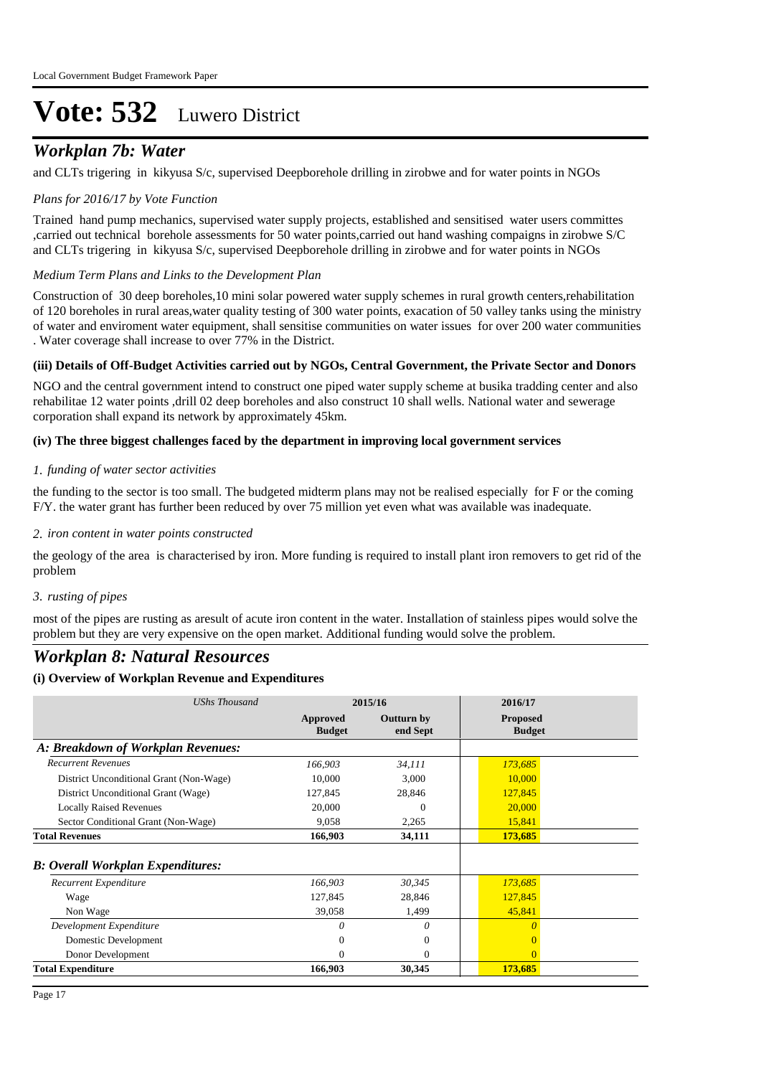## *Workplan 7b: Water*

and CLTs trigering in kikyusa S/c, supervised Deepborehole drilling in zirobwe and for water points in NGOs

#### *Plans for 2016/17 by Vote Function*

Trained hand pump mechanics, supervised water supply projects, established and sensitised water users committes ,carried out technical borehole assessments for 50 water points,carried out hand washing compaigns in zirobwe S/C and CLTs trigering in kikyusa S/c, supervised Deepborehole drilling in zirobwe and for water points in NGOs

#### *Medium Term Plans and Links to the Development Plan*

Construction of 30 deep boreholes,10 mini solar powered water supply schemes in rural growth centers,rehabilitation of 120 boreholes in rural areas,water quality testing of 300 water points, exacation of 50 valley tanks using the ministry of water and enviroment water equipment, shall sensitise communities on water issues for over 200 water communities . Water coverage shall increase to over 77% in the District.

#### **(iii) Details of Off-Budget Activities carried out by NGOs, Central Government, the Private Sector and Donors**

NGO and the central government intend to construct one piped water supply scheme at busika tradding center and also rehabilitae 12 water points ,drill 02 deep boreholes and also construct 10 shall wells. National water and sewerage corporation shall expand its network by approximately 45km.

#### **(iv) The three biggest challenges faced by the department in improving local government services**

#### *funding of water sector activities 1.*

the funding to the sector is too small. The budgeted midterm plans may not be realised especially for F or the coming F/Y. the water grant has further been reduced by over 75 million yet even what was available was inadequate.

#### *iron content in water points constructed 2.*

the geology of the area is characterised by iron. More funding is required to install plant iron removers to get rid of the problem

#### *rusting of pipes 3.*

most of the pipes are rusting as aresult of acute iron content in the water. Installation of stainless pipes would solve the problem but they are very expensive on the open market. Additional funding would solve the problem.

### *Workplan 8: Natural Resources*

#### **(i) Overview of Workplan Revenue and Expenditures**

| <b>UShs Thousand</b>                     | 2015/16                   |                        | 2016/17                          |  |
|------------------------------------------|---------------------------|------------------------|----------------------------------|--|
|                                          | Approved<br><b>Budget</b> | Outturn by<br>end Sept | <b>Proposed</b><br><b>Budget</b> |  |
| A: Breakdown of Workplan Revenues:       |                           |                        |                                  |  |
| <b>Recurrent Revenues</b>                | 166,903                   | 34,111                 | 173,685                          |  |
| District Unconditional Grant (Non-Wage)  | 10,000                    | 3,000                  | 10,000                           |  |
| District Unconditional Grant (Wage)      | 127,845                   | 28,846                 | 127,845                          |  |
| <b>Locally Raised Revenues</b>           | 20,000                    | 0                      | 20,000                           |  |
| Sector Conditional Grant (Non-Wage)      | 9,058                     | 2,265                  | 15,841                           |  |
| <b>Total Revenues</b>                    | 166,903                   | 34,111                 | 173,685                          |  |
| <b>B: Overall Workplan Expenditures:</b> |                           |                        |                                  |  |
| Recurrent Expenditure                    | 166,903                   | 30,345                 | 173,685                          |  |
| Wage                                     | 127,845                   | 28,846                 | 127,845                          |  |
| Non Wage                                 | 39,058                    | 1,499                  | 45,841                           |  |
| Development Expenditure                  | $\Omega$                  | 0                      | n                                |  |
| Domestic Development                     | 0                         | $\mathbf{0}$           |                                  |  |
| Donor Development                        | 0                         | $\mathbf{0}$           | $\Omega$                         |  |
| <b>Total Expenditure</b>                 | 166,903                   | 30,345                 | 173,685                          |  |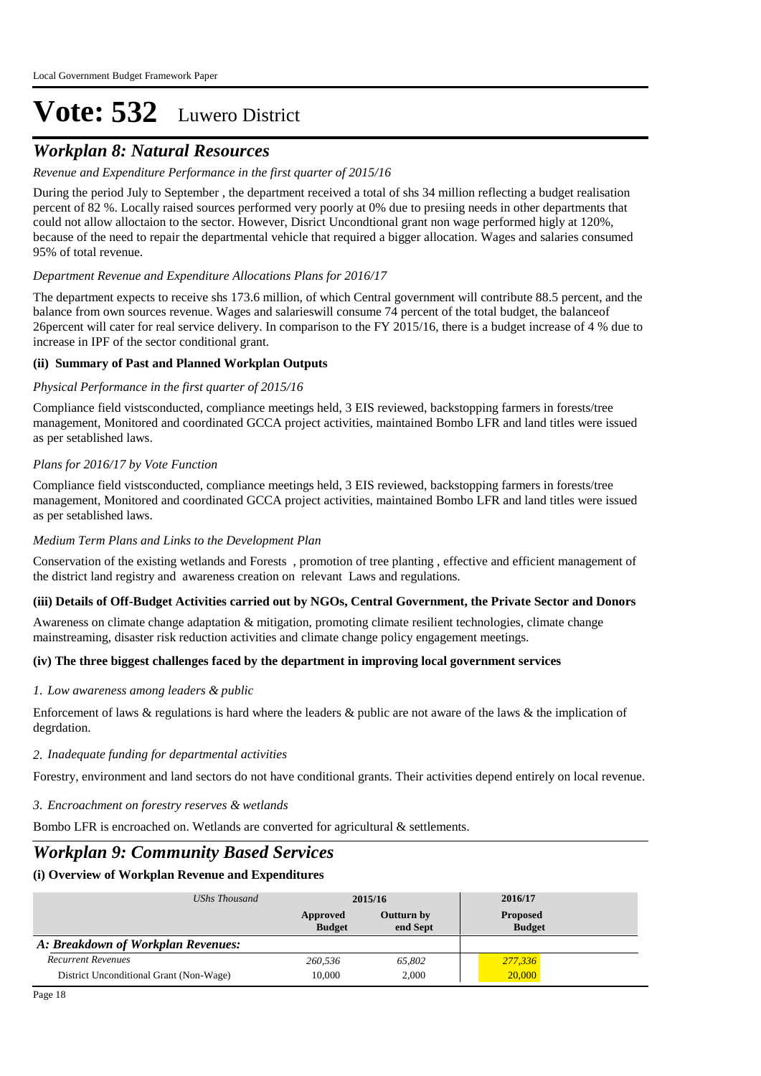## *Workplan 8: Natural Resources*

#### *Revenue and Expenditure Performance in the first quarter of 2015/16*

During the period July to September , the department received a total of shs 34 million reflecting a budget realisation percent of 82 %. Locally raised sources performed very poorly at 0% due to presiing needs in other departments that could not allow alloctaion to the sector. However, Disrict Uncondtional grant non wage performed higly at 120%, because of the need to repair the departmental vehicle that required a bigger allocation. Wages and salaries consumed 95% of total revenue.

#### *Department Revenue and Expenditure Allocations Plans for 2016/17*

The department expects to receive shs 173.6 million, of which Central government will contribute 88.5 percent, and the balance from own sources revenue. Wages and salarieswill consume 74 percent of the total budget, the balanceof 26percent will cater for real service delivery. In comparison to the FY 2015/16, there is a budget increase of 4 % due to increase in IPF of the sector conditional grant.

#### **(ii) Summary of Past and Planned Workplan Outputs**

#### *Physical Performance in the first quarter of 2015/16*

Compliance field vistsconducted, compliance meetings held, 3 EIS reviewed, backstopping farmers in forests/tree management, Monitored and coordinated GCCA project activities, maintained Bombo LFR and land titles were issued as per setablished laws.

#### *Plans for 2016/17 by Vote Function*

Compliance field vistsconducted, compliance meetings held, 3 EIS reviewed, backstopping farmers in forests/tree management, Monitored and coordinated GCCA project activities, maintained Bombo LFR and land titles were issued as per setablished laws.

#### *Medium Term Plans and Links to the Development Plan*

Conservation of the existing wetlands and Forests , promotion of tree planting , effective and efficient management of the district land registry and awareness creation on relevant Laws and regulations.

#### **(iii) Details of Off-Budget Activities carried out by NGOs, Central Government, the Private Sector and Donors**

Awareness on climate change adaptation & mitigation, promoting climate resilient technologies, climate change mainstreaming, disaster risk reduction activities and climate change policy engagement meetings.

#### **(iv) The three biggest challenges faced by the department in improving local government services**

#### *Low awareness among leaders & public 1.*

Enforcement of laws  $&$  regulations is hard where the leaders  $&$  public are not aware of the laws  $&$  the implication of degrdation.

#### *Inadequate funding for departmental activities 2.*

Forestry, environment and land sectors do not have conditional grants. Their activities depend entirely on local revenue.

*Encroachment on forestry reserves & wetlands 3.*

Bombo LFR is encroached on. Wetlands are converted for agricultural & settlements.

### *Workplan 9: Community Based Services*

### **(i) Overview of Workplan Revenue and Expenditures**

| UShs Thousand                           | 2015/16                   |                        | 2016/17                          |  |
|-----------------------------------------|---------------------------|------------------------|----------------------------------|--|
|                                         | Approved<br><b>Budget</b> | Outturn by<br>end Sept | <b>Proposed</b><br><b>Budget</b> |  |
| A: Breakdown of Workplan Revenues:      |                           |                        |                                  |  |
| <b>Recurrent Revenues</b>               | 260.536                   | 65.802                 | 277,336                          |  |
| District Unconditional Grant (Non-Wage) | 10,000                    | 2.000                  | 20,000                           |  |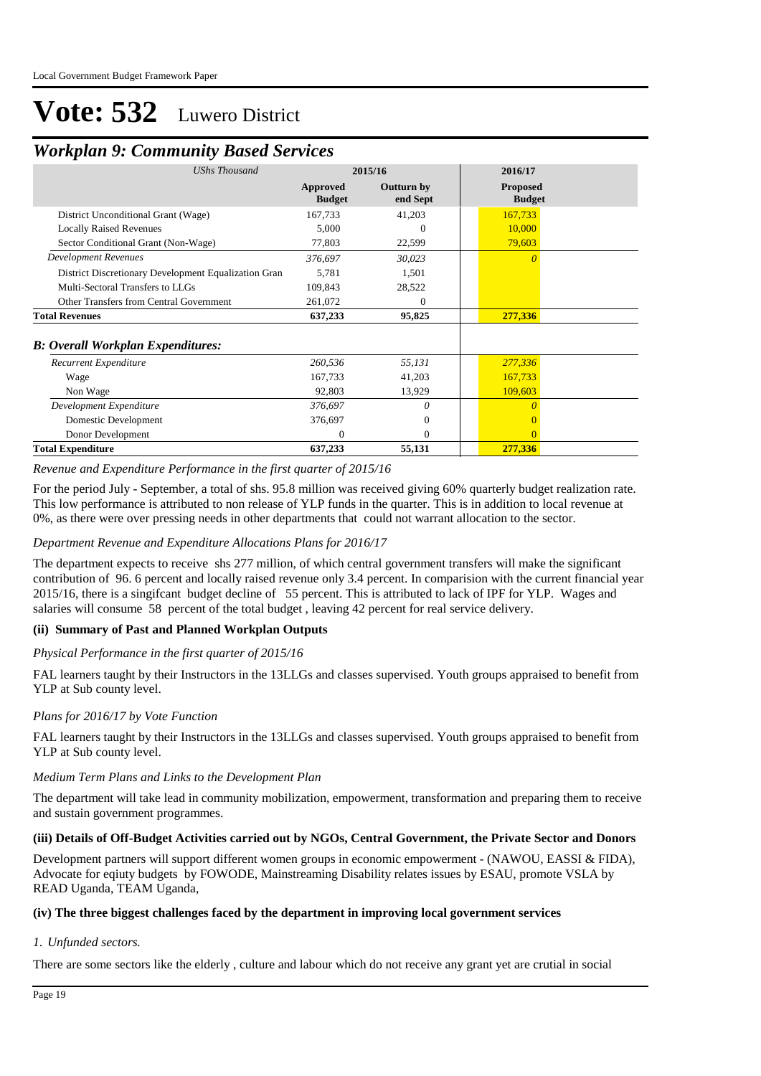## *Workplan 9: Community Based Services*

| 2015/16                          |                        | 2016/17                          |
|----------------------------------|------------------------|----------------------------------|
| <b>Approved</b><br><b>Budget</b> | Outturn by<br>end Sept | <b>Proposed</b><br><b>Budget</b> |
| 167,733                          | 41,203                 | 167,733                          |
| 5,000                            | 0                      | 10,000                           |
| 77,803                           | 22,599                 | 79,603                           |
| 376,697                          | 30,023                 | $\Omega$                         |
| 5,781                            | 1,501                  |                                  |
| 109,843                          | 28,522                 |                                  |
| 261,072                          | 0                      |                                  |
| 637,233                          | 95,825                 | 277,336                          |
|                                  |                        |                                  |
| 260,536                          | 55,131                 | 277,336                          |
| 167,733                          | 41,203                 | 167,733                          |
| 92,803                           | 13,929                 | 109,603                          |
| 376,697                          | 0                      |                                  |
| 376,697                          | $\Omega$               |                                  |
| $\Omega$                         | $\Omega$               |                                  |
| 637,233                          | 55,131                 | 277,336                          |
|                                  |                        |                                  |

*Revenue and Expenditure Performance in the first quarter of 2015/16*

For the period July - September, a total of shs. 95.8 million was received giving 60% quarterly budget realization rate. This low performance is attributed to non release of YLP funds in the quarter. This is in addition to local revenue at 0%, as there were over pressing needs in other departments that could not warrant allocation to the sector.

#### *Department Revenue and Expenditure Allocations Plans for 2016/17*

The department expects to receive shs 277 million, of which central government transfers will make the significant contribution of 96. 6 percent and locally raised revenue only 3.4 percent. In comparision with the current financial year 2015/16, there is a singifcant budget decline of 55 percent. This is attributed to lack of IPF for YLP. Wages and salaries will consume 58 percent of the total budget, leaving 42 percent for real service delivery.

#### **(ii) Summary of Past and Planned Workplan Outputs**

#### *Physical Performance in the first quarter of 2015/16*

FAL learners taught by their Instructors in the 13LLGs and classes supervised. Youth groups appraised to benefit from YLP at Sub county level.

#### *Plans for 2016/17 by Vote Function*

FAL learners taught by their Instructors in the 13LLGs and classes supervised. Youth groups appraised to benefit from YLP at Sub county level.

#### *Medium Term Plans and Links to the Development Plan*

The department will take lead in community mobilization, empowerment, transformation and preparing them to receive and sustain government programmes.

#### **(iii) Details of Off-Budget Activities carried out by NGOs, Central Government, the Private Sector and Donors**

Development partners will support different women groups in economic empowerment - (NAWOU, EASSI & FIDA), Advocate for eqiuty budgets by FOWODE, Mainstreaming Disability relates issues by ESAU, promote VSLA by READ Uganda, TEAM Uganda,

#### **(iv) The three biggest challenges faced by the department in improving local government services**

#### *Unfunded sectors. 1.*

There are some sectors like the elderly , culture and labour which do not receive any grant yet are crutial in social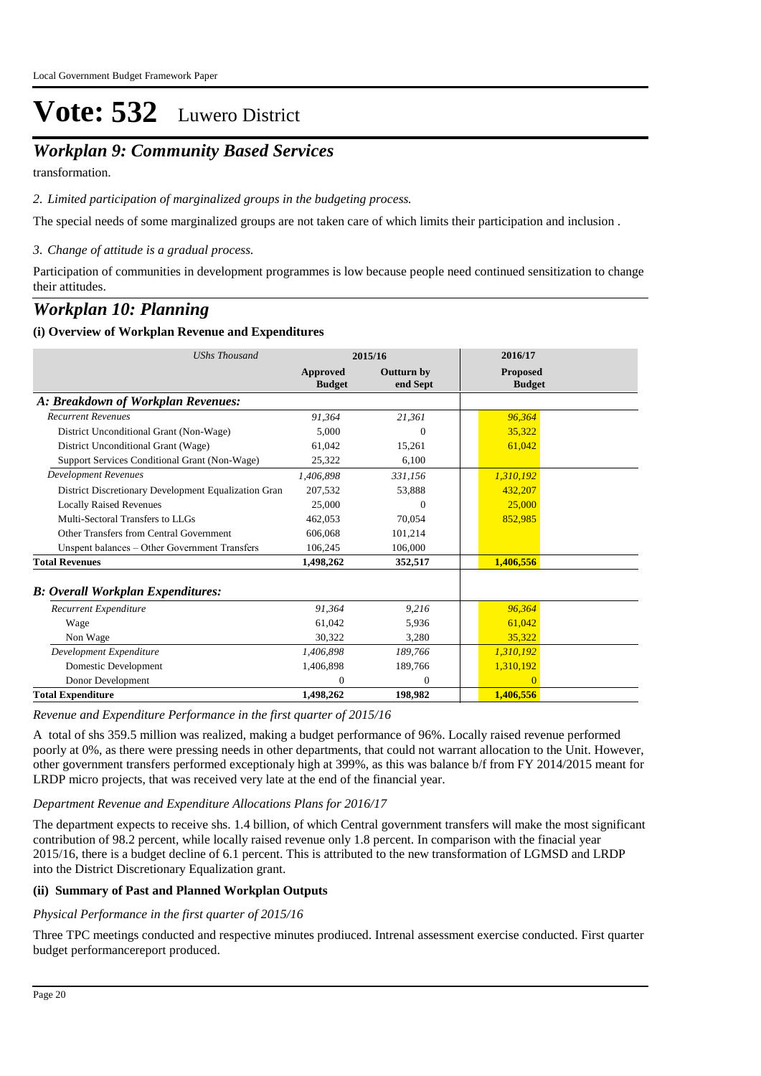## *Workplan 9: Community Based Services*

transformation.

*Limited participation of marginalized groups in the budgeting process. 2.*

The special needs of some marginalized groups are not taken care of which limits their participation and inclusion .

*Change of attitude is a gradual process. 3.*

Participation of communities in development programmes is low because people need continued sensitization to change their attitudes.

### *Workplan 10: Planning*

#### **(i) Overview of Workplan Revenue and Expenditures**

| <b>UShs Thousand</b>                                 | 2015/16                   |                               | 2016/17                          |  |
|------------------------------------------------------|---------------------------|-------------------------------|----------------------------------|--|
|                                                      | Approved<br><b>Budget</b> | <b>Outturn by</b><br>end Sept | <b>Proposed</b><br><b>Budget</b> |  |
| A: Breakdown of Workplan Revenues:                   |                           |                               |                                  |  |
| <b>Recurrent Revenues</b>                            | 91,364                    | 21,361                        | 96,364                           |  |
| District Unconditional Grant (Non-Wage)              | 5.000                     | $\theta$                      | 35,322                           |  |
| District Unconditional Grant (Wage)                  | 61,042                    | 15,261                        | 61,042                           |  |
| Support Services Conditional Grant (Non-Wage)        | 25,322                    | 6.100                         |                                  |  |
| <b>Development Revenues</b>                          | 1,406,898                 | 331,156                       | 1,310,192                        |  |
| District Discretionary Development Equalization Gran | 207,532                   | 53,888                        | 432,207                          |  |
| <b>Locally Raised Revenues</b>                       | 25,000                    | 0                             | 25,000                           |  |
| Multi-Sectoral Transfers to LLGs                     | 462,053                   | 70.054                        | 852,985                          |  |
| Other Transfers from Central Government              | 606,068                   | 101,214                       |                                  |  |
| Unspent balances - Other Government Transfers        | 106,245                   | 106,000                       |                                  |  |
| <b>Total Revenues</b>                                | 1,498,262                 | 352,517                       | 1,406,556                        |  |
| <b>B</b> : Overall Workplan Expenditures:            |                           |                               |                                  |  |
| Recurrent Expenditure                                | 91,364                    | 9,216                         | 96,364                           |  |
| Wage                                                 | 61,042                    | 5,936                         | 61,042                           |  |
| Non Wage                                             | 30,322                    | 3,280                         | 35,322                           |  |
| Development Expenditure                              | 1,406,898                 | 189,766                       | 1,310,192                        |  |
| Domestic Development                                 | 1,406,898                 | 189,766                       | 1,310,192                        |  |
| Donor Development                                    | $\mathbf{0}$              | $\overline{0}$                | $\Omega$                         |  |
| <b>Total Expenditure</b>                             | 1,498,262                 | 198,982                       | 1,406,556                        |  |

*Revenue and Expenditure Performance in the first quarter of 2015/16*

A total of shs 359.5 million was realized, making a budget performance of 96%. Locally raised revenue performed poorly at 0%, as there were pressing needs in other departments, that could not warrant allocation to the Unit. However, other government transfers performed exceptionaly high at 399%, as this was balance b/f from FY 2014/2015 meant for LRDP micro projects, that was received very late at the end of the financial year.

#### *Department Revenue and Expenditure Allocations Plans for 2016/17*

The department expects to receive shs. 1.4 billion, of which Central government transfers will make the most significant contribution of 98.2 percent, while locally raised revenue only 1.8 percent. In comparison with the finacial year 2015/16, there is a budget decline of 6.1 percent. This is attributed to the new transformation of LGMSD and LRDP into the District Discretionary Equalization grant.

#### **(ii) Summary of Past and Planned Workplan Outputs**

#### *Physical Performance in the first quarter of 2015/16*

Three TPC meetings conducted and respective minutes prodiuced. Intrenal assessment exercise conducted. First quarter budget performancereport produced.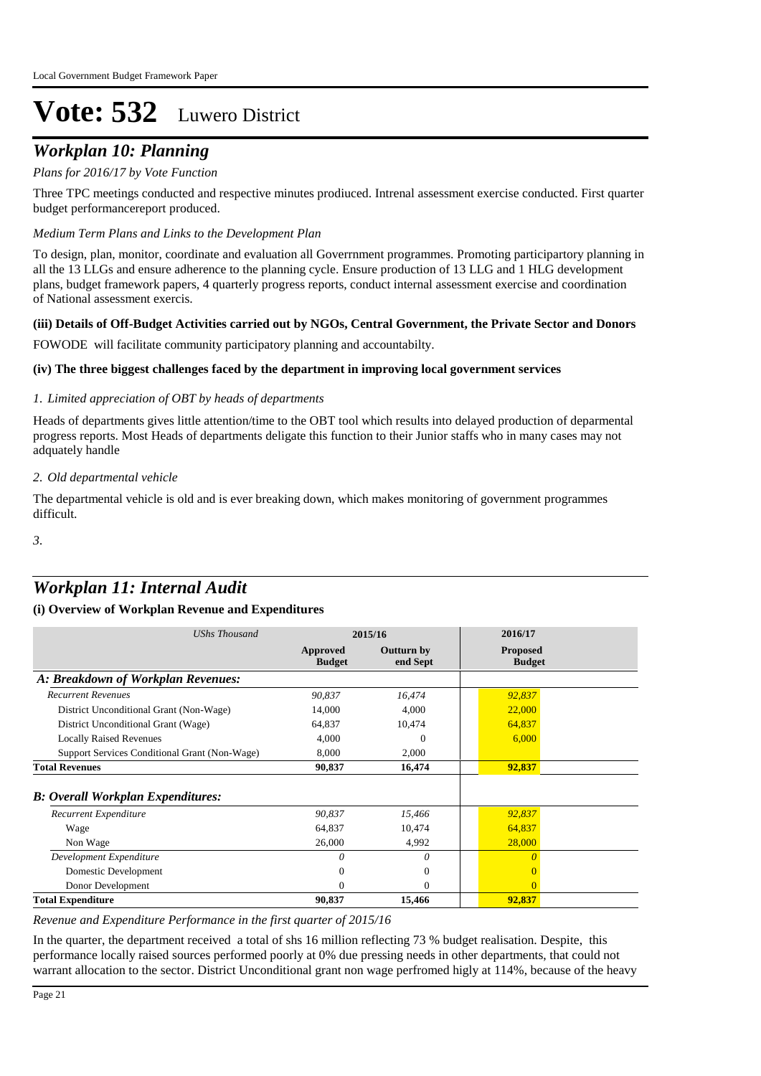## *Workplan 10: Planning*

#### *Plans for 2016/17 by Vote Function*

Three TPC meetings conducted and respective minutes prodiuced. Intrenal assessment exercise conducted. First quarter budget performancereport produced.

#### *Medium Term Plans and Links to the Development Plan*

To design, plan, monitor, coordinate and evaluation all Goverrnment programmes. Promoting participartory planning in all the 13 LLGs and ensure adherence to the planning cycle. Ensure production of 13 LLG and 1 HLG development plans, budget framework papers, 4 quarterly progress reports, conduct internal assessment exercise and coordination of National assessment exercis.

#### **(iii) Details of Off-Budget Activities carried out by NGOs, Central Government, the Private Sector and Donors**

FOWODE will facilitate community participatory planning and accountabilty.

#### **(iv) The three biggest challenges faced by the department in improving local government services**

#### *Limited appreciation of OBT by heads of departments 1.*

Heads of departments gives little attention/time to the OBT tool which results into delayed production of deparmental progress reports. Most Heads of departments deligate this function to their Junior staffs who in many cases may not adquately handle

#### *Old departmental vehicle 2.*

The departmental vehicle is old and is ever breaking down, which makes monitoring of government programmes difficult.

*3.*

## *Workplan 11: Internal Audit*

#### **(i) Overview of Workplan Revenue and Expenditures**

| <b>UShs Thousand</b>                          | 2015/16                   |                               | 2016/17                          |
|-----------------------------------------------|---------------------------|-------------------------------|----------------------------------|
|                                               | Approved<br><b>Budget</b> | <b>Outturn by</b><br>end Sept | <b>Proposed</b><br><b>Budget</b> |
| A: Breakdown of Workplan Revenues:            |                           |                               |                                  |
| <b>Recurrent Revenues</b>                     | 90,837                    | 16,474                        | 92,837                           |
| District Unconditional Grant (Non-Wage)       | 14,000                    | 4,000                         | 22,000                           |
| District Unconditional Grant (Wage)           | 64,837                    | 10,474                        | 64,837                           |
| <b>Locally Raised Revenues</b>                | 4,000                     | 0                             | 6,000                            |
| Support Services Conditional Grant (Non-Wage) | 8,000                     | 2,000                         |                                  |
| <b>Total Revenues</b>                         | 90,837                    | 16,474                        | 92,837                           |
| <b>B: Overall Workplan Expenditures:</b>      |                           |                               |                                  |
| Recurrent Expenditure                         | 90,837                    | 15,466                        | 92,837                           |
| Wage                                          | 64,837                    | 10,474                        | 64,837                           |
| Non Wage                                      | 26,000                    | 4,992                         | 28,000                           |
| Development Expenditure                       | $\theta$                  | $\theta$                      |                                  |
| Domestic Development                          | 0                         | $\Omega$                      |                                  |
| Donor Development                             | 0                         | $\Omega$                      | $\Omega$                         |
| <b>Total Expenditure</b>                      | 90.837                    | 15,466                        | 92.837                           |

*Revenue and Expenditure Performance in the first quarter of 2015/16*

In the quarter, the department received a total of shs 16 million reflecting 73 % budget realisation. Despite, this performance locally raised sources performed poorly at 0% due pressing needs in other departments, that could not warrant allocation to the sector. District Unconditional grant non wage perfromed higly at 114%, because of the heavy